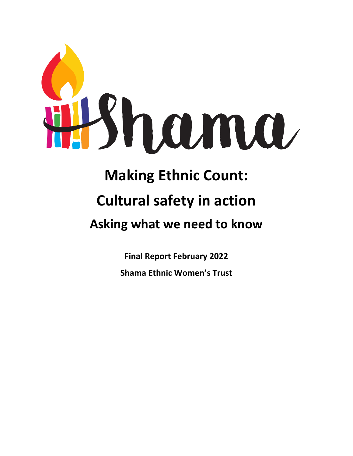

# **Making Ethnic Count:**

## **Cultural safety in action**

### **Asking what we need to know**

**Final Report February 2022 Shama Ethnic Women's Trust**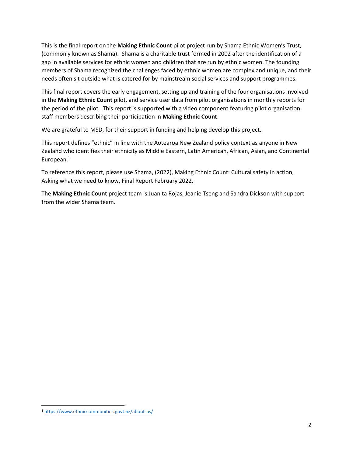This is the final report on the **Making Ethnic Count** pilot project run by Shama Ethnic Women's Trust, (commonly known as Shama). Shama is a charitable trust formed in 2002 after the identification of a gap in available services for ethnic women and children that are run by ethnic women. The founding members of Shama recognized the challenges faced by ethnic women are complex and unique, and their needs often sit outside what is catered for by mainstream social services and support programmes.

This final report covers the early engagement, setting up and training of the four organisations involved in the **Making Ethnic Count** pilot, and service user data from pilot organisations in monthly reports for the period of the pilot. This report is supported with a video component featuring pilot organisation staff members describing their participation in **Making Ethnic Count**.

We are grateful to MSD, for their support in funding and helping develop this project.

This report defines "ethnic" in line with the Aotearoa New Zealand policy context as anyone in New Zealand who identifies their ethnicity as Middle Eastern, Latin American, African, Asian, and Continental European.<sup>1</sup>

To reference this report, please use Shama, (2022), Making Ethnic Count: Cultural safety in action, Asking what we need to know, Final Report February 2022.

The **Making Ethnic Count** project team is Juanita Rojas, Jeanie Tseng and Sandra Dickson with support from the wider Shama team.

<sup>1</sup> <https://www.ethniccommunities.govt.nz/about-us/>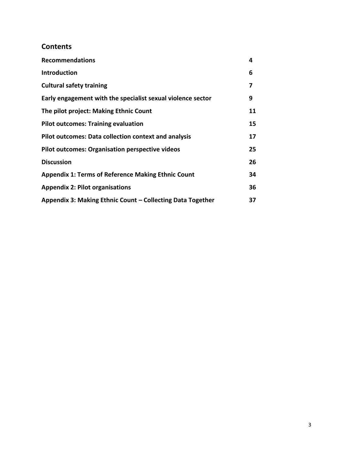### **Contents**

| <b>Recommendations</b>                                      | 4  |
|-------------------------------------------------------------|----|
| <b>Introduction</b>                                         | 6  |
| <b>Cultural safety training</b>                             | 7  |
| Early engagement with the specialist sexual violence sector | 9  |
| The pilot project: Making Ethnic Count                      | 11 |
| <b>Pilot outcomes: Training evaluation</b>                  | 15 |
| Pilot outcomes: Data collection context and analysis        | 17 |
| <b>Pilot outcomes: Organisation perspective videos</b>      | 25 |
| <b>Discussion</b>                                           | 26 |
| <b>Appendix 1: Terms of Reference Making Ethnic Count</b>   | 34 |
| <b>Appendix 2: Pilot organisations</b>                      | 36 |
| Appendix 3: Making Ethnic Count - Collecting Data Together  | 37 |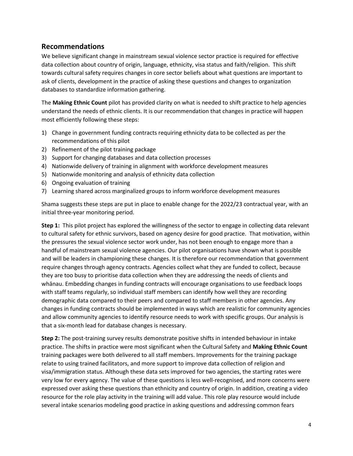#### **Recommendations**

We believe significant change in mainstream sexual violence sector practice is required for effective data collection about country of origin, language, ethnicity, visa status and faith/religion. This shift towards cultural safety requires changes in core sector beliefs about what questions are important to ask of clients, development in the practice of asking these questions and changes to organization databases to standardize information gathering.

The **Making Ethnic Count** pilot has provided clarity on what is needed to shift practice to help agencies understand the needs of ethnic clients. It is our recommendation that changes in practice will happen most efficiently following these steps:

- 1) Change in government funding contracts requiring ethnicity data to be collected as per the recommendations of this pilot
- 2) Refinement of the pilot training package
- 3) Support for changing databases and data collection processes
- 4) Nationwide delivery of training in alignment with workforce development measures
- 5) Nationwide monitoring and analysis of ethnicity data collection
- 6) Ongoing evaluation of training
- 7) Learning shared across marginalized groups to inform workforce development measures

Shama suggests these steps are put in place to enable change for the 2022/23 contractual year, with an initial three-year monitoring period.

**Step 1:** This pilot project has explored the willingness of the sector to engage in collecting data relevant to cultural safety for ethnic survivors, based on agency desire for good practice. That motivation, within the pressures the sexual violence sector work under, has not been enough to engage more than a handful of mainstream sexual violence agencies. Our pilot organisations have shown what is possible and will be leaders in championing these changes. It is therefore our recommendation that government require changes through agency contracts. Agencies collect what they are funded to collect, because they are too busy to prioritise data collection when they are addressing the needs of clients and whānau. Embedding changes in funding contracts will encourage organisations to use feedback loops with staff teams regularly, so individual staff members can identify how well they are recording demographic data compared to their peers and compared to staff members in other agencies. Any changes in funding contracts should be implemented in ways which are realistic for community agencies and allow community agencies to identify resource needs to work with specific groups. Our analysis is that a six-month lead for database changes is necessary.

**Step 2:** The post-training survey results demonstrate positive shifts in intended behaviour in intake practice. The shifts in practice were most significant when the Cultural Safety and **Making Ethnic Count**  training packages were both delivered to all staff members. Improvements for the training package relate to using trained facilitators, and more support to improve data collection of religion and visa/immigration status. Although these data sets improved for two agencies, the starting rates were very low for every agency. The value of these questions is less well-recognised, and more concerns were expressed over asking these questions than ethnicity and country of origin. In addition, creating a video resource for the role play activity in the training will add value. This role play resource would include several intake scenarios modeling good practice in asking questions and addressing common fears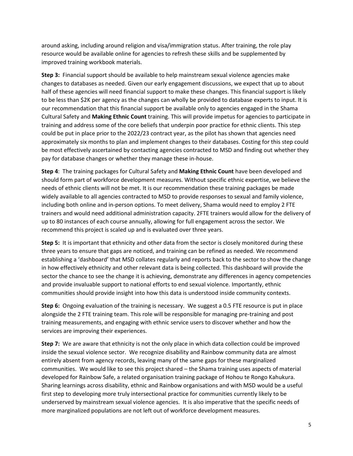around asking, including around religion and visa/immigration status. After training, the role play resource would be available online for agencies to refresh these skills and be supplemented by improved training workbook materials.

**Step 3:** Financial support should be available to help mainstream sexual violence agencies make changes to databases as needed. Given our early engagement discussions, we expect that up to about half of these agencies will need financial support to make these changes. This financial support is likely to be less than \$2K per agency as the changes can wholly be provided to database experts to input. It is our recommendation that this financial support be available only to agencies engaged in the Shama Cultural Safety and **Making Ethnic Count** training. This will provide impetus for agencies to participate in training and address some of the core beliefs that underpin poor practice for ethnic clients. This step could be put in place prior to the 2022/23 contract year, as the pilot has shown that agencies need approximately six months to plan and implement changes to their databases. Costing for this step could be most effectively ascertained by contacting agencies contracted to MSD and finding out whether they pay for database changes or whether they manage these in-house.

**Step 4**: The training packages for Cultural Safety and **Making Ethnic Count** have been developed and should form part of workforce development measures. Without specific ethnic expertise, we believe the needs of ethnic clients will not be met. It is our recommendation these training packages be made widely available to all agencies contracted to MSD to provide responses to sexual and family violence, including both online and in-person options. To meet delivery, Shama would need to employ 2 FTE trainers and would need additional administration capacity. 2FTE trainers would allow for the delivery of up to 80 instances of each course annually, allowing for full engagement across the sector. We recommend this project is scaled up and is evaluated over three years.

**Step 5:** It is important that ethnicity and other data from the sector is closely monitored during these three years to ensure that gaps are noticed, and training can be refined as needed. We recommend establishing a 'dashboard' that MSD collates regularly and reports back to the sector to show the change in how effectively ethnicity and other relevant data is being collected. This dashboard will provide the sector the chance to see the change it is achieving, demonstrate any differences in agency competencies and provide invaluable support to national efforts to end sexual violence. Importantly, ethnic communities should provide insight into how this data is understood inside community contexts.

**Step 6:** Ongoing evaluation of the training is necessary. We suggest a 0.5 FTE resource is put in place alongside the 2 FTE training team. This role will be responsible for managing pre-training and post training measurements, and engaging with ethnic service users to discover whether and how the services are improving their experiences.

**Step 7:** We are aware that ethnicity is not the only place in which data collection could be improved inside the sexual violence sector. We recognize disability and Rainbow community data are almost entirely absent from agency records, leaving many of the same gaps for these marginalized communities. We would like to see this project shared – the Shama training uses aspects of material developed for Rainbow Safe, a related organisation training package of Hohou te Rongo Kahukura. Sharing learnings across disability, ethnic and Rainbow organisations and with MSD would be a useful first step to developing more truly intersectional practice for communities currently likely to be underserved by mainstream sexual violence agencies. It is also imperative that the specific needs of more marginalized populations are not left out of workforce development measures.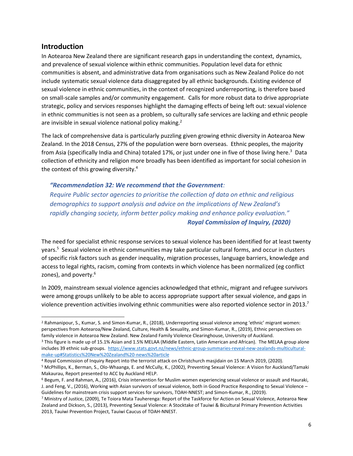#### **Introduction**

In Aotearoa New Zealand there are significant research gaps in understanding the context, dynamics, and prevalence of sexual violence within ethnic communities. Population level data for ethnic communities is absent, and administrative data from organisations such as New Zealand Police do not include systematic sexual violence data disaggregated by all ethnic backgrounds. Existing evidence of sexual violence in ethnic communities, in the context of recognized underreporting, is therefore based on small-scale samples and/or community engagement. Calls for more robust data to drive appropriate strategic, policy and services responses highlight the damaging effects of being left out: sexual violence in ethnic communities is not seen as a problem, so culturally safe services are lacking and ethnic people are invisible in sexual violence national policy making.<sup>2</sup>

The lack of comprehensive data is particularly puzzling given growing ethnic diversity in Aotearoa New Zealand. In the 2018 Census, 27% of the population were born overseas. Ethnic peoples, the majority from Asia (specifically India and China) totaled 17%, or just under one in five of those living here.<sup>3</sup> Data collection of ethnicity and religion more broadly has been identified as important for social cohesion in the context of this growing diversity.<sup>4</sup>

#### *"Recommendation 32: We recommend that the Government:*

*Require Public sector agencies to prioritise the collection of data on ethnic and religious demographics to support analysis and advice on the implications of New Zealand's rapidly changing society, inform better policy making and enhance policy evaluation." Royal Commission of Inquiry, (2020)*

The need for specialist ethnic response services to sexual violence has been identified for at least twenty years.<sup>5</sup> Sexual violence in ethnic communities may take particular cultural forms, and occur in clusters of specific risk factors such as gender inequality, migration processes, language barriers, knowledge and access to legal rights, racism, coming from contexts in which violence has been normalized (eg conflict zones), and poverty.<sup>6</sup>

In 2009, mainstream sexual violence agencies acknowledged that ethnic, migrant and refugee survivors were among groups unlikely to be able to access appropriate support after sexual violence, and gaps in violence prevention activities involving ethnic communities were also reported violence sector in 2013.<sup>7</sup>

<sup>&</sup>lt;sup>2</sup> Rahmanipour, S., Kumar, S. and Simon-Kumar, R., (2018), Underreporting sexual violence among 'ethnic' migrant women: perspectives from Aotearoa/New Zealand, Culture, Health & Sexuality, and Simon-Kumar, R., (2019), Ethnic perspectives on family violence in Aotearoa New Zealand. New Zealand Family Violence Clearinghouse, University of Auckland.

<sup>&</sup>lt;sup>3</sup> This figure is made up of 15.1% Asian and 1.5% MELAA (Middle Eastern, Latin American and African). The MELAA group alone includes 39 ethnic sub-groups. [https://www.stats.govt.nz/news/ethnic-group-summaries-reveal-new-zealands-multicultural](https://www.stats.govt.nz/news/ethnic-group-summaries-reveal-new-zealands-multicultural-make-up#Statistics%20New%20Zealand%20-news%20article)[make-up#Statistics%20New%20Zealand%20-news%20article](https://www.stats.govt.nz/news/ethnic-group-summaries-reveal-new-zealands-multicultural-make-up#Statistics%20New%20Zealand%20-news%20article)

<sup>4</sup> Royal Commission of Inquiry Report into the terrorist attack on Christchurch masjidain on 15 March 2019, (2020).

<sup>5</sup> McPhillips, K., Berman, S., Olo-Whaanga, E. and McCully, K., (2002), Preventing Sexual Violence: A Vision for Auckland/Tamaki Makaurau, Report presented to ACC by Auckland HELP.

<sup>6</sup> Begum, F. and Rahman, A., (2016), Crisis intervention for Muslim women experiencing sexual violence or assault and Hauraki, J. and Feng, V., (2016), Working with Asian survivors of sexual violence, both in Good Practice Responding to Sexual Violence – Guidelines for mainstream crisis support services for survivors, TOAH-NNEST; and Simon-Kumar, R., (2019).

<sup>7</sup> Ministry of Justice, (2009), Te Toiora Mata Tauherenga: Report of the Taskforce for Action on Sexual Violence, Aotearoa New Zealand and Dickson, S., (2013), Preventing Sexual Violence: A Stocktake of Tauiwi & Bicultural Primary Prevention Activities 2013, Tauiwi Prevention Project, Tauiwi Caucus of TOAH-NNEST.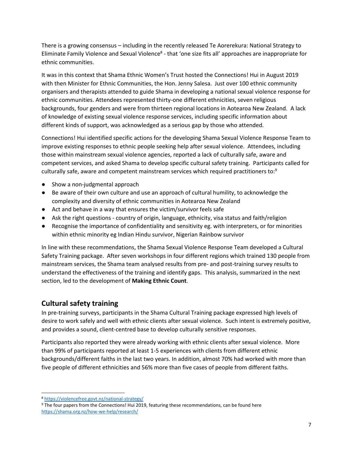There is a growing consensus – including in the recently released Te Aorerekura: National Strategy to Eliminate Family Violence and Sexual Violence<sup>8</sup> - that 'one size fits all' approaches are inappropriate for ethnic communities.

It was in this context that Shama Ethnic Women's Trust hosted the Connections! Hui in August 2019 with then Minister for Ethnic Communities, the Hon. Jenny Salesa. Just over 100 ethnic community organisers and therapists attended to guide Shama in developing a national sexual violence response for ethnic communities. Attendees represented thirty-one different ethnicities, seven religious backgrounds, four genders and were from thirteen regional locations in Aotearoa New Zealand. A lack of knowledge of existing sexual violence response services, including specific information about different kinds of support, was acknowledged as a serious gap by those who attended.

Connections! Hui identified specific actions for the developing Shama Sexual Violence Response Team to improve existing responses to ethnic people seeking help after sexual violence. Attendees, including those within mainstream sexual violence agencies, reported a lack of culturally safe, aware and competent services, and asked Shama to develop specific cultural safety training. Participants called for culturally safe, aware and competent mainstream services which required practitioners to:<sup>9</sup>

- Show a non-judgmental approach
- Be aware of their own culture and use an approach of cultural humility, to acknowledge the complexity and diversity of ethnic communities in Aotearoa New Zealand
- Act and behave in a way that ensures the victim/survivor feels safe
- Ask the right questions country of origin, language, ethnicity, visa status and faith/religion
- Recognise the importance of confidentiality and sensitivity eg. with interpreters, or for minorities within ethnic minority eg Indian Hindu survivor, Nigerian Rainbow survivor

In line with these recommendations, the Shama Sexual Violence Response Team developed a Cultural Safety Training package. After seven workshops in four different regions which trained 130 people from mainstream services, the Shama team analysed results from pre- and post-training survey results to understand the effectiveness of the training and identify gaps. This analysis, summarized in the next section, led to the development of **Making Ethnic Count**.

#### **Cultural safety training**

In pre-training surveys, participants in the Shama Cultural Training package expressed high levels of desire to work safely and well with ethnic clients after sexual violence. Such intent is extremely positive, and provides a sound, client-centred base to develop culturally sensitive responses.

Participants also reported they were already working with ethnic clients after sexual violence. More than 99% of participants reported at least 1-5 experiences with clients from different ethnic backgrounds/different faiths in the last two years. In addition, almost 70% had worked with more than five people of different ethnicities and 56% more than five cases of people from different faiths.

<sup>8</sup> <https://violencefree.govt.nz/national-strategy/>

<sup>9</sup> The four papers from the Connections! Hui 2019, featuring these recommendations, can be found here <https://shama.org.nz/how-we-help/research/>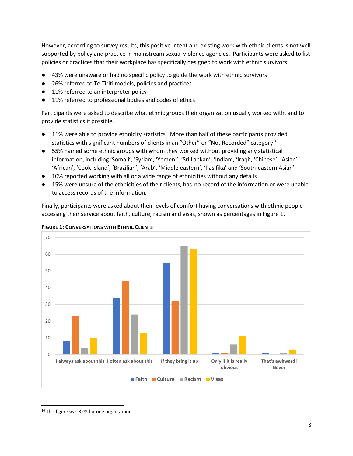However, according to survey results, this positive intent and existing work with ethnic clients is not well supported by policy and practice in mainstream sexual violence agencies. Participants were asked to list policies or practices that their workplace has specifically designed to work with ethnic survivors.

- 43% were unaware or had no specific policy to guide the work with ethnic survivors
- 26% referred to Te Tiriti models, policies and practices
- 11% referred to an interpreter policy
- 11% referred to professional bodies and codes of ethics

Participants were asked to describe what ethnic groups their organization usually worked with, and to provide statistics if possible.

- 11% were able to provide ethnicity statistics. More than half of these participants provided statistics with significant numbers of clients in an "Other" or "Not Recorded" category<sup>10</sup>
- 55% named some ethnic groups with whom they worked without providing any statistical information, including 'Somali', 'Syrian', 'Yemeni', 'Sri Lankan', 'Indian', 'Iraqi', 'Chinese', 'Asian', 'African', 'Cook Island', 'Brazilian', 'Arab', 'Middle eastern', 'Pasifika' and 'South-eastern Asian'
- 10% reported working with all or a wide range of ethnicities without any details
- 15% were unsure of the ethnicities of their clients, had no record of the information or were unable to access records of the information.

Finally, participants were asked about their levels of comfort having conversations with ethnic people accessing their service about faith, culture, racism and visas, shown as percentages in Figure 1.





<sup>&</sup>lt;sup>10</sup> This figure was 32% for one organization.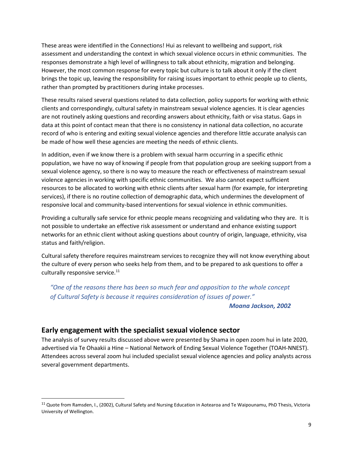These areas were identified in the Connections! Hui as relevant to wellbeing and support, risk assessment and understanding the context in which sexual violence occurs in ethnic communities. The responses demonstrate a high level of willingness to talk about ethnicity, migration and belonging. However, the most common response for every topic but culture is to talk about it only if the client brings the topic up, leaving the responsibility for raising issues important to ethnic people up to clients, rather than prompted by practitioners during intake processes.

These results raised several questions related to data collection, policy supports for working with ethnic clients and correspondingly, cultural safety in mainstream sexual violence agencies. It is clear agencies are not routinely asking questions and recording answers about ethnicity, faith or visa status. Gaps in data at this point of contact mean that there is no consistency in national data collection, no accurate record of who is entering and exiting sexual violence agencies and therefore little accurate analysis can be made of how well these agencies are meeting the needs of ethnic clients.

In addition, even if we know there is a problem with sexual harm occurring in a specific ethnic population, we have no way of knowing if people from that population group are seeking support from a sexual violence agency, so there is no way to measure the reach or effectiveness of mainstream sexual violence agencies in working with specific ethnic communities. We also cannot expect sufficient resources to be allocated to working with ethnic clients after sexual harm (for example, for interpreting services), if there is no routine collection of demographic data, which undermines the development of responsive local and community-based interventions for sexual violence in ethnic communities.

Providing a culturally safe service for ethnic people means recognizing and validating who they are. It is not possible to undertake an effective risk assessment or understand and enhance existing support networks for an ethnic client without asking questions about country of origin, language, ethnicity, visa status and faith/religion.

Cultural safety therefore requires mainstream services to recognize they will not know everything about the culture of every person who seeks help from them, and to be prepared to ask questions to offer a culturally responsive service.<sup>11</sup>

*"One of the reasons there has been so much fear and opposition to the whole concept of Cultural Safety is because it requires consideration of issues of power."*

#### *Moana Jackson, 2002*

#### **Early engagement with the specialist sexual violence sector**

The analysis of survey results discussed above were presented by Shama in open zoom hui in late 2020, advertised via Te Ohaakii a Hine – National Network of Ending Sexual Violence Together (TOAH-NNEST). Attendees across several zoom hui included specialist sexual violence agencies and policy analysts across several government departments.

<sup>&</sup>lt;sup>11</sup> Quote from Ramsden, I., (2002), Cultural Safety and Nursing Education in Aotearoa and Te Waipounamu, PhD Thesis, Victoria University of Wellington.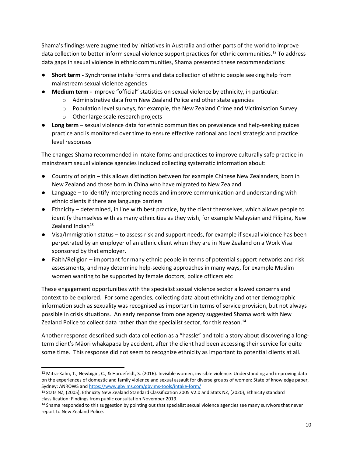Shama's findings were augmented by initiatives in Australia and other parts of the world to improve data collection to better inform sexual violence support practices for ethnic communities.<sup>12</sup> To address data gaps in sexual violence in ethnic communities, Shama presented these recommendations:

- **Short term -** Synchronise intake forms and data collection of ethnic people seeking help from mainstream sexual violence agencies
- **Medium term -** Improve "official" statistics on sexual violence by ethnicity, in particular:
	- o Administrative data from New Zealand Police and other state agencies
	- $\circ$  Population level surveys, for example, the New Zealand Crime and Victimisation Survey
	- o Other large scale research projects
- **Long term**  sexual violence data for ethnic communities on prevalence and help-seeking guides practice and is monitored over time to ensure effective national and local strategic and practice level responses

The changes Shama recommended in intake forms and practices to improve culturally safe practice in mainstream sexual violence agencies included collecting systematic information about:

- Country of origin this allows distinction between for example Chinese New Zealanders, born in New Zealand and those born in China who have migrated to New Zealand
- Language to identify interpreting needs and improve communication and understanding with ethnic clients if there are language barriers
- Ethnicity determined, in line with best practice, by the client themselves, which allows people to identify themselves with as many ethnicities as they wish, for example Malaysian and Filipina, New Zealand Indian $13$
- Visa/Immigration status to assess risk and support needs, for example if sexual violence has been perpetrated by an employer of an ethnic client when they are in New Zealand on a Work Visa sponsored by that employer.
- Faith/Religion important for many ethnic people in terms of potential support networks and risk assessments, and may determine help-seeking approaches in many ways, for example Muslim women wanting to be supported by female doctors, police officers etc

These engagement opportunities with the specialist sexual violence sector allowed concerns and context to be explored. For some agencies, collecting data about ethnicity and other demographic information such as sexuality was recognised as important in terms of service provision, but not always possible in crisis situations. An early response from one agency suggested Shama work with New Zealand Police to collect data rather than the specialist sector, for this reason.<sup>14</sup>

Another response described such data collection as a "hassle" and told a story about discovering a longterm client's Māori whakapapa by accident, after the client had been accessing their service for quite some time. This response did not seem to recognize ethnicity as important to potential clients at all.

<sup>12</sup> Mitra-Kahn, T., Newbigin, C., & Hardefeldt, S. (2016). Invisible women, invisible violence: Understanding and improving data on the experiences of domestic and family violence and sexual assault for diverse groups of women: State of knowledge paper, Sydney: ANROWS an[d https://www.gbvims.com/gbvims-tools/intake-form/](https://www.gbvims.com/gbvims-tools/intake-form/)

<sup>&</sup>lt;sup>13</sup> Stats NZ, (2005), Ethnicity New Zealand Standard Classification 2005 V2.0 and Stats NZ, (2020), Ethnicity standard classification: Findings from public consultation November 2019.

<sup>14</sup> Shama responded to this suggestion by pointing out that specialist sexual violence agencies see many survivors that never report to New Zealand Police.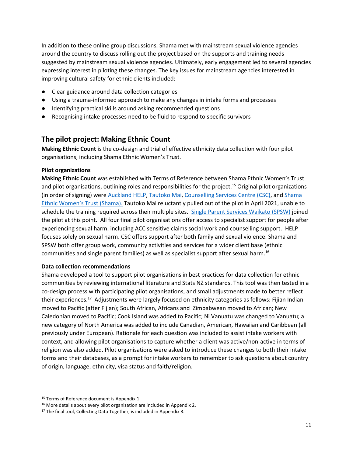In addition to these online group discussions, Shama met with mainstream sexual violence agencies around the country to discuss rolling out the project based on the supports and training needs suggested by mainstream sexual violence agencies. Ultimately, early engagement led to several agencies expressing interest in piloting these changes. The key issues for mainstream agencies interested in improving cultural safety for ethnic clients included:

- Clear guidance around data collection categories
- Using a trauma-informed approach to make any changes in intake forms and processes
- Identifying practical skills around asking recommended questions
- Recognising intake processes need to be fluid to respond to specific survivors

#### **The pilot project: Making Ethnic Count**

**Making Ethnic Count** is the co-design and trial of effective ethnicity data collection with four pilot organisations, including Shama Ethnic Women's Trust.

#### **Pilot organizations**

**Making Ethnic Count** was established with Terms of Reference between Shama Ethnic Women's Trust and pilot organisations, outlining roles and responsibilities for the project.<sup>15</sup> Original pilot organizations (in order of signing) were [Auckland HELP,](https://www.helpauckland.org.nz/) [Tautoko Mai,](https://tautokomai.co.nz/) [Counselling Services Centre](http://cscnz.org.nz/) (CSC), and [Shama](https://shama.org.nz/)  [Ethnic Women's Trust](https://shama.org.nz/) (Shama). Tautoko Mai reluctantly pulled out of the pilot in April 2021, unable to schedule the training required across their multiple sites. [Single Parent Services Waikato](http://spsw.org.nz/) (SPSW) joined the pilot at this point. All four final pilot organisations offer access to specialist support for people after experiencing sexual harm, including ACC sensitive claims social work and counselling support. HELP focuses solely on sexual harm. CSC offers support after both family and sexual violence. Shama and SPSW both offer group work, community activities and services for a wider client base (ethnic communities and single parent families) as well as specialist support after sexual harm.<sup>16</sup>

#### **Data collection recommendations**

Shama developed a tool to support pilot organisations in best practices for data collection for ethnic communities by reviewing international literature and Stats NZ standards. This tool was then tested in a co-design process with participating pilot organisations, and small adjustments made to better reflect their experiences.<sup>17</sup> Adjustments were largely focused on ethnicity categories as follows: Fijian Indian moved to Pacific (after Fijian); South African, Africans and Zimbabwean moved to African; New Caledonian moved to Pacific; Cook Island was added to Pacific; Ni Vanuatu was changed to Vanuatu; a new category of North America was added to include Canadian, American, Hawaiian and Caribbean (all previously under European). Rationale for each question was included to assist intake workers with context, and allowing pilot organisations to capture whether a client was active/non-active in terms of religion was also added. Pilot organisations were asked to introduce these changes to both their intake forms and their databases, as a prompt for intake workers to remember to ask questions about country of origin, language, ethnicity, visa status and faith/religion.

<sup>15</sup> Terms of Reference document is Appendix 1.

<sup>16</sup> More details about every pilot organization are included in Appendix 2.

<sup>&</sup>lt;sup>17</sup> The final tool, Collecting Data Together, is included in Appendix 3.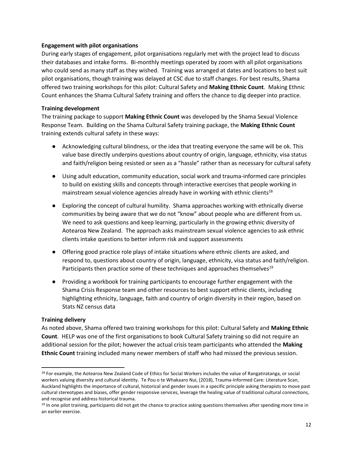#### **Engagement with pilot organisations**

During early stages of engagement, pilot organisations regularly met with the project lead to discuss their databases and intake forms. Bi-monthly meetings operated by zoom with all pilot organisations who could send as many staff as they wished. Training was arranged at dates and locations to best suit pilot organisations, though training was delayed at CSC due to staff changes. For best results, Shama offered two training workshops for this pilot: Cultural Safety and **Making Ethnic Count**. Making Ethnic Count enhances the Shama Cultural Safety training and offers the chance to dig deeper into practice.

#### **Training development**

The training package to support **Making Ethnic Count** was developed by the Shama Sexual Violence Response Team. Building on the Shama Cultural Safety training package, the **Making Ethnic Count** training extends cultural safety in these ways:

- Acknowledging cultural blindness, or the idea that treating everyone the same will be ok. This value base directly underpins questions about country of origin, language, ethnicity, visa status and faith/religion being resisted or seen as a "hassle" rather than as necessary for cultural safety
- Using adult education, community education, social work and trauma-informed care principles to build on existing skills and concepts through interactive exercises that people working in mainstream sexual violence agencies already have in working with ethnic clients<sup>18</sup>
- Exploring the concept of cultural humility. Shama approaches working with ethnically diverse communities by being aware that we do not "know" about people who are different from us. We need to ask questions and keep learning, particularly in the growing ethnic diversity of Aotearoa New Zealand. The approach asks mainstream sexual violence agencies to ask ethnic clients intake questions to better inform risk and support assessments
- Offering good practice role plays of intake situations where ethnic clients are asked, and respond to, questions about country of origin, language, ethnicity, visa status and faith/religion. Participants then practice some of these techniques and approaches themselves<sup>19</sup>
- Providing a workbook for training participants to encourage further engagement with the Shama Crisis Response team and other resources to best support ethnic clients, including highlighting ethnicity, language, faith and country of origin diversity in their region, based on Stats NZ census data

#### **Training delivery**

As noted above, Shama offered two training workshops for this pilot: Cultural Safety and **Making Ethnic Count**. HELP was one of the first organisations to book Cultural Safety training so did not require an additional session for the pilot; however the actual crisis team participants who attended the **Making Ethnic Count** training included many newer members of staff who had missed the previous session.

<sup>&</sup>lt;sup>18</sup> For example, the Aotearoa New Zealand Code of Ethics for Social Workers includes the value of Rangatiratanga, or social workers valuing diversity and cultural identity. Te Pou o te Whakaaro Nui, (2018), Trauma-Informed Care: Literature Scan, Auckland highlights the importance of cultural, historical and gender issues in a specific principle asking therapists to move past cultural stereotypes and biases, offer gender responsive services, leverage the healing value of traditional cultural connections, and recognise and address historical trauma.

<sup>&</sup>lt;sup>19</sup> In one pilot training, participants did not get the chance to practice asking questions themselves after spending more time in an earlier exercise.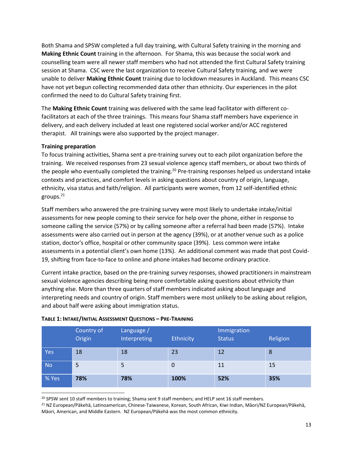Both Shama and SPSW completed a full day training, with Cultural Safety training in the morning and **Making Ethnic Count** training in the afternoon. For Shama, this was because the social work and counselling team were all newer staff members who had not attended the first Cultural Safety training session at Shama. CSC were the last organization to receive Cultural Safety training, and we were unable to deliver **Making Ethnic Count** training due to lockdown measures in Auckland. This means CSC have not yet begun collecting recommended data other than ethnicity. Our experiences in the pilot confirmed the need to do Cultural Safety training first.

The **Making Ethnic Count** training was delivered with the same lead facilitator with different cofacilitators at each of the three trainings. This means four Shama staff members have experience in delivery, and each delivery included at least one registered social worker and/or ACC registered therapist. All trainings were also supported by the project manager.

#### **Training preparation**

To focus training activities, Shama sent a pre-training survey out to each pilot organization before the training. We received responses from 23 sexual violence agency staff members, or about two thirds of the people who eventually completed the training.<sup>20</sup> Pre-training responses helped us understand intake contexts and practices, and comfort levels in asking questions about country of origin, language, ethnicity, visa status and faith/religion. All participants were women, from 12 self-identified ethnic groups.<sup>21</sup>

Staff members who answered the pre-training survey were most likely to undertake intake/initial assessments for new people coming to their service for help over the phone, either in response to someone calling the service (57%) or by calling someone after a referral had been made (57%). Intake assessments were also carried out in person at the agency (39%), or at another venue such as a police station, doctor's office, hospital or other community space (39%). Less common were intake assessments in a potential client's own home (13%). An additional comment was made that post Covid-19, shifting from face-to-face to online and phone intakes had become ordinary practice.

Current intake practice, based on the pre-training survey responses, showed practitioners in mainstream sexual violence agencies describing being more comfortable asking questions about ethnicity than anything else. More than three quarters of staff members indicated asking about language and interpreting needs and country of origin. Staff members were most unlikely to be asking about religion, and about half were asking about immigration status.

|           | Country of<br>Origin | Language /<br>Interpreting | Ethnicity | Immigration<br><b>Status</b> | Religion |
|-----------|----------------------|----------------------------|-----------|------------------------------|----------|
| Yes       | 18                   | 18                         | 23        | 12                           | 8        |
| <b>No</b> | 5                    | 5                          | 0         | 11                           | 15       |
| % Yes     | 78%                  | 78%                        | 100%      | 52%                          | 35%      |

#### **TABLE 1: INTAKE/INITIAL ASSESSMENT QUESTIONS – PRE-TRAINING**

<sup>20</sup> SPSW sent 10 staff members to training; Shama sent 9 staff members; and HELP sent 16 staff members.

<sup>21</sup> NZ European/Pākehā, Latinoamerican, Chinese-Taiwanese, Korean, South African, Kiwi Indian, Māori/NZ European/Pākehā, Māori, American, and Middle Eastern. NZ European/Pākehā was the most common ethnicity.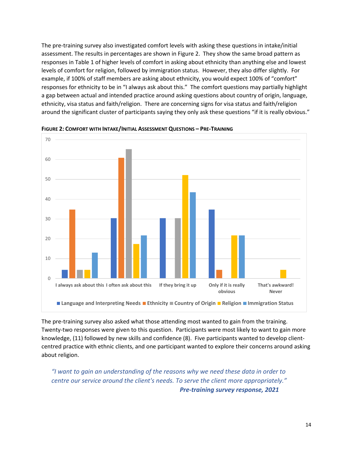The pre-training survey also investigated comfort levels with asking these questions in intake/initial assessment. The results in percentages are shown in Figure 2. They show the same broad pattern as responses in Table 1 of higher levels of comfort in asking about ethnicity than anything else and lowest levels of comfort for religion, followed by immigration status. However, they also differ slightly. For example, if 100% of staff members are asking about ethnicity, you would expect 100% of "comfort" responses for ethnicity to be in "I always ask about this." The comfort questions may partially highlight a gap between actual and intended practice around asking questions about country of origin, language, ethnicity, visa status and faith/religion. There are concerning signs for visa status and faith/religion around the significant cluster of participants saying they only ask these questions "if it is really obvious."



**FIGURE 2: COMFORT WITH INTAKE/INITIAL ASSESSMENT QUESTIONS – PRE-TRAINING**

The pre-training survey also asked what those attending most wanted to gain from the training. Twenty-two responses were given to this question. Participants were most likely to want to gain more knowledge, (11) followed by new skills and confidence (8). Five participants wanted to develop clientcentred practice with ethnic clients, and one participant wanted to explore their concerns around asking about religion.

*"I want to gain an understanding of the reasons why we need these data in order to centre our service around the client's needs. To serve the client more appropriately." Pre-training survey response, 2021*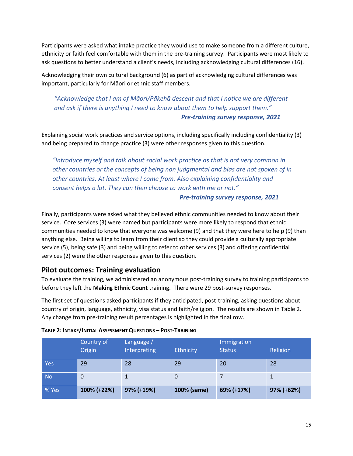Participants were asked what intake practice they would use to make someone from a different culture, ethnicity or faith feel comfortable with them in the pre-training survey. Participants were most likely to ask questions to better understand a client's needs, including acknowledging cultural differences (16).

Acknowledging their own cultural background (6) as part of acknowledging cultural differences was important, particularly for Māori or ethnic staff members.

#### *"Acknowledge that I am of Māori/Pākehā descent and that I notice we are different and ask if there is anything I need to know about them to help support them." Pre-training survey response, 2021*

Explaining social work practices and service options, including specifically including confidentiality (3) and being prepared to change practice (3) were other responses given to this question.

*"Introduce myself and talk about social work practice as that is not very common in other countries or the concepts of being non judgmental and bias are not spoken of in other countries. At least where I come from. Also explaining confidentiality and consent helps a lot. They can then choose to work with me or not."*

#### *Pre-training survey response, 2021*

Finally, participants were asked what they believed ethnic communities needed to know about their service. Core services (3) were named but participants were more likely to respond that ethnic communities needed to know that everyone was welcome (9) and that they were here to help (9) than anything else. Being willing to learn from their client so they could provide a culturally appropriate service (5), being safe (3) and being willing to refer to other services (3) and offering confidential services (2) were the other responses given to this question.

#### **Pilot outcomes: Training evaluation**

To evaluate the training, we administered an anonymous post-training survey to training participants to before they left the **Making Ethnic Count** training. There were 29 post-survey responses.

The first set of questions asked participants if they anticipated, post-training, asking questions about country of origin, language, ethnicity, visa status and faith/religion. The results are shown in Table 2. Any change from pre-training result percentages is highlighted in the final row.

|            | Country of<br>Origin | Language /<br>Interpreting | Ethnicity   | Immigration<br><b>Status</b> | Religion   |
|------------|----------------------|----------------------------|-------------|------------------------------|------------|
| <b>Yes</b> | 29                   | 28                         | 29          | 20                           | 28         |
| <b>No</b>  | $\mathbf 0$          |                            |             |                              |            |
| % Yes      | 100% (+22%)          | 97% (+19%)                 | 100% (same) | 69% (+17%)                   | 97% (+62%) |

#### **TABLE 2: INTAKE/INITIAL ASSESSMENT QUESTIONS – POST-TRAINING**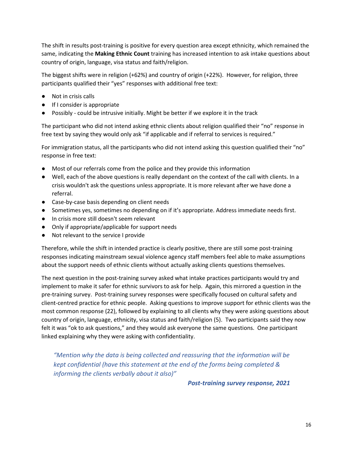The shift in results post-training is positive for every question area except ethnicity, which remained the same, indicating the **Making Ethnic Count** training has increased intention to ask intake questions about country of origin, language, visa status and faith/religion.

The biggest shifts were in religion (+62%) and country of origin (+22%). However, for religion, three participants qualified their "yes" responses with additional free text:

- Not in crisis calls
- If I consider is appropriate
- Possibly could be intrusive initially. Might be better if we explore it in the track

The participant who did not intend asking ethnic clients about religion qualified their "no" response in free text by saying they would only ask "if applicable and if referral to services is required."

For immigration status, all the participants who did not intend asking this question qualified their "no" response in free text:

- Most of our referrals come from the police and they provide this information
- Well, each of the above questions is really dependant on the context of the call with clients. In a crisis wouldn't ask the questions unless appropriate. It is more relevant after we have done a referral.
- Case-by-case basis depending on client needs
- Sometimes yes, sometimes no depending on if it's appropriate. Address immediate needs first.
- In crisis more still doesn't seem relevant
- Only if appropriate/applicable for support needs
- Not relevant to the service I provide

Therefore, while the shift in intended practice is clearly positive, there are still some post-training responses indicating mainstream sexual violence agency staff members feel able to make assumptions about the support needs of ethnic clients without actually asking clients questions themselves.

The next question in the post-training survey asked what intake practices participants would try and implement to make it safer for ethnic survivors to ask for help. Again, this mirrored a question in the pre-training survey. Post-training survey responses were specifically focused on cultural safety and client-centred practice for ethnic people. Asking questions to improve support for ethnic clients was the most common response (22), followed by explaining to all clients why they were asking questions about country of origin, language, ethnicity, visa status and faith/religion (5). Two participants said they now felt it was "ok to ask questions," and they would ask everyone the same questions. One participant linked explaining why they were asking with confidentiality.

*"Mention why the data is being collected and reassuring that the information will be kept confidential (have this statement at the end of the forms being completed & informing the clients verbally about it also)"*

 *Post-training survey response, 2021*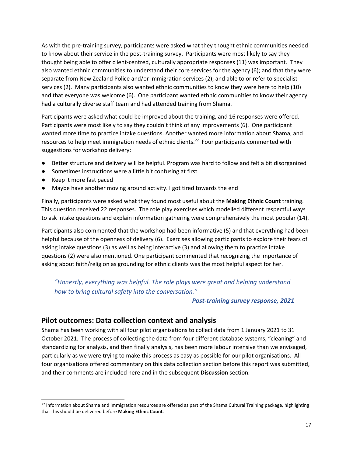As with the pre-training survey, participants were asked what they thought ethnic communities needed to know about their service in the post-training survey. Participants were most likely to say they thought being able to offer client-centred, culturally appropriate responses (11) was important. They also wanted ethnic communities to understand their core services for the agency (6); and that they were separate from New Zealand Police and/or immigration services (2); and able to or refer to specialist services (2). Many participants also wanted ethnic communities to know they were here to help (10) and that everyone was welcome (6). One participant wanted ethnic communities to know their agency had a culturally diverse staff team and had attended training from Shama.

Participants were asked what could be improved about the training, and 16 responses were offered. Participants were most likely to say they couldn't think of any improvements (6). One participant wanted more time to practice intake questions. Another wanted more information about Shama, and resources to help meet immigration needs of ethnic clients.<sup>22</sup> Four participants commented with suggestions for workshop delivery:

- Better structure and delivery will be helpful. Program was hard to follow and felt a bit disorganized
- Sometimes instructions were a little bit confusing at first
- Keep it more fast paced
- Maybe have another moving around activity. I got tired towards the end

Finally, participants were asked what they found most useful about the **Making Ethnic Count** training. This question received 22 responses. The role play exercises which modelled different respectful ways to ask intake questions and explain information gathering were comprehensively the most popular (14).

Participants also commented that the workshop had been informative (5) and that everything had been helpful because of the openness of delivery (6). Exercises allowing participants to explore their fears of asking intake questions (3) as well as being interactive (3) and allowing them to practice intake questions (2) were also mentioned. One participant commented that recognizing the importance of asking about faith/religion as grounding for ethnic clients was the most helpful aspect for her.

*"Honestly, everything was helpful. The role plays were great and helping understand how to bring cultural safety into the conversation."*

#### *Post-training survey response, 2021*

#### **Pilot outcomes: Data collection context and analysis**

Shama has been working with all four pilot organisations to collect data from 1 January 2021 to 31 October 2021. The process of collecting the data from four different database systems, "cleaning" and standardizing for analysis, and then finally analysis, has been more labour intensive than we envisaged, particularly as we were trying to make this process as easy as possible for our pilot organisations. All four organisations offered commentary on this data collection section before this report was submitted, and their comments are included here and in the subsequent **Discussion** section.

<sup>&</sup>lt;sup>22</sup> Information about Shama and immigration resources are offered as part of the Shama Cultural Training package, highlighting that this should be delivered before **Making Ethnic Count**.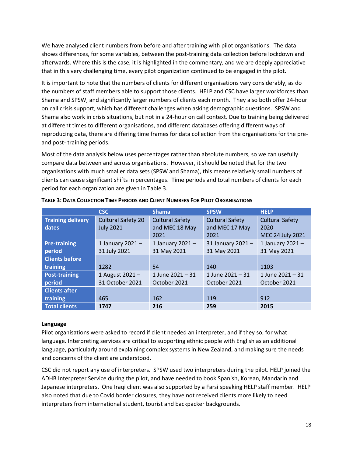We have analysed client numbers from before and after training with pilot organisations. The data shows differences, for some variables, between the post-training data collection before lockdown and afterwards. Where this is the case, it is highlighted in the commentary, and we are deeply appreciative that in this very challenging time, every pilot organization continued to be engaged in the pilot.

It is important to note that the numbers of clients for different organisations vary considerably, as do the numbers of staff members able to support those clients. HELP and CSC have larger workforces than Shama and SPSW, and significantly larger numbers of clients each month. They also both offer 24-hour on call crisis support, which has different challenges when asking demographic questions. SPSW and Shama also work in crisis situations, but not in a 24-hour on call context. Due to training being delivered at different times to different organisations, and different databases offering different ways of reproducing data, there are differing time frames for data collection from the organisations for the preand post- training periods.

Most of the data analysis below uses percentages rather than absolute numbers, so we can usefully compare data between and across organisations. However, it should be noted that for the two organisations with much smaller data sets (SPSW and Shama), this means relatively small numbers of clients can cause significant shifts in percentages. Time periods and total numbers of clients for each period for each organization are given in Table 3.

|                                   | <b>CSC</b>                                    | <b>Shama</b>                                     | <b>SPSW</b>                                      | <b>HELP</b>                                               |
|-----------------------------------|-----------------------------------------------|--------------------------------------------------|--------------------------------------------------|-----------------------------------------------------------|
| <b>Training delivery</b><br>dates | <b>Cultural Safety 20</b><br><b>July 2021</b> | <b>Cultural Safety</b><br>and MEC 18 May<br>2021 | <b>Cultural Safety</b><br>and MEC 17 May<br>2021 | <b>Cultural Safety</b><br>2020<br><b>MEC 24 July 2021</b> |
| <b>Pre-training</b><br>period     | 1 January $2021 -$<br>31 July 2021            | 1 January 2021 $-$<br>31 May 2021                | 31 January 2021-<br>31 May 2021                  | 1 January 2021 $-$<br>31 May 2021                         |
| <b>Clients before</b><br>training | 1282                                          | 54                                               | 140                                              | 1103                                                      |
| <b>Post-training</b><br>period    | 1 August 2021 -<br>31 October 2021            | 1 June $2021 - 31$<br>October 2021               | 1 June $2021 - 31$<br>October 2021               | 1 June $2021 - 31$<br>October 2021                        |
| <b>Clients after</b><br>training  | 465                                           | 162                                              | 119                                              | 912                                                       |
| <b>Total clients</b>              | 1747                                          | 216                                              | 259                                              | 2015                                                      |

TABLE 3: DATA COLLECTION TIME PERIODS AND CLIENT NUMBERS FOR PILOT ORGANISATIONS

#### **Language**

Pilot organisations were asked to record if client needed an interpreter, and if they so, for what language. Interpreting services are critical to supporting ethnic people with English as an additional language, particularly around explaining complex systems in New Zealand, and making sure the needs and concerns of the client are understood.

CSC did not report any use of interpreters. SPSW used two interpreters during the pilot. HELP joined the ADHB Interpreter Service during the pilot, and have needed to book Spanish, Korean, Mandarin and Japanese interpreters. One Iraqi client was also supported by a Farsi speaking HELP staff member. HELP also noted that due to Covid border closures, they have not received clients more likely to need interpreters from international student, tourist and backpacker backgrounds.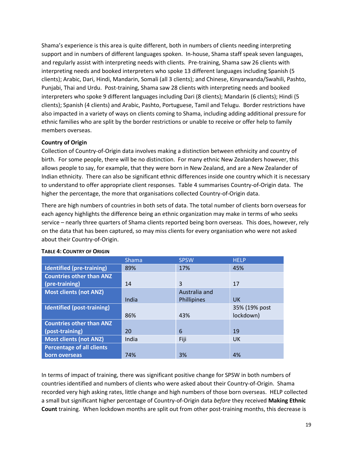Shama's experience is this area is quite different, both in numbers of clients needing interpreting support and in numbers of different languages spoken. In-house, Shama staff speak seven languages, and regularly assist with interpreting needs with clients. Pre-training, Shama saw 26 clients with interpreting needs and booked interpreters who spoke 13 different languages including Spanish (5 clients); Arabic, Dari, Hindi, Mandarin, Somali (all 3 clients); and Chinese, Kinyarwanda/Swahili, Pashto, Punjabi, Thai and Urdu. Post-training, Shama saw 28 clients with interpreting needs and booked interpreters who spoke 9 different languages including Dari (8 clients); Mandarin (6 clients); Hindi (5 clients); Spanish (4 clients) and Arabic, Pashto, Portuguese, Tamil and Telugu. Border restrictions have also impacted in a variety of ways on clients coming to Shama, including adding additional pressure for ethnic families who are split by the border restrictions or unable to receive or offer help to family members overseas.

#### **Country of Origin**

Collection of Country-of-Origin data involves making a distinction between ethnicity and country of birth. For some people, there will be no distinction. For many ethnic New Zealanders however, this allows people to say, for example, that they were born in New Zealand, and are a New Zealander of Indian ethnicity. There can also be significant ethnic differences inside one country which it is necessary to understand to offer appropriate client responses. Table 4 summarises Country-of-Origin data. The higher the percentage, the more that organisations collected Country-of-Origin data.

There are high numbers of countries in both sets of data. The total number of clients born overseas for each agency highlights the difference being an ethnic organization may make in terms of who seeks service – nearly three quarters of Shama clients reported being born overseas. This does, however, rely on the data that has been captured, so may miss clients for every organisation who were not asked about their Country-of-Origin.

|                                  | <b>Shama</b> | <b>SPSW</b>        | <b>HELP</b>   |
|----------------------------------|--------------|--------------------|---------------|
| Identified (pre-training)        | 89%          | 17%                | 45%           |
| <b>Countries other than ANZ</b>  |              |                    |               |
| (pre-training)                   | 14           | 3                  | 17            |
| <b>Most clients (not ANZ)</b>    |              | Australia and      |               |
|                                  | India        | <b>Phillipines</b> | <b>UK</b>     |
| Identified (post-training)       |              |                    | 35% (19% post |
|                                  | 86%          | 43%                | lockdown)     |
| <b>Countries other than ANZ</b>  |              |                    |               |
| (post-training)                  | 20           | 6                  | 19            |
| <b>Most clients (not ANZ)</b>    | India        | Fiji               | <b>UK</b>     |
| <b>Percentage of all clients</b> |              |                    |               |
| born overseas                    | 74%          | 3%                 | 4%            |

#### **TABLE 4: COUNTRY OF ORIGIN**

In terms of impact of training, there was significant positive change for SPSW in both numbers of countries identified and numbers of clients who were asked about their Country-of-Origin. Shama recorded very high asking rates, little change and high numbers of those born overseas. HELP collected a small but significant higher percentage of Country-of-Origin data *before* they received **Making Ethnic Count** training. When lockdown months are split out from other post-training months, this decrease is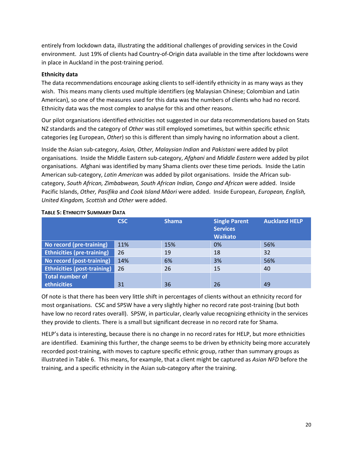entirely from lockdown data, illustrating the additional challenges of providing services in the Covid environment. Just 19% of clients had Country-of-Origin data available in the time after lockdowns were in place in Auckland in the post-training period.

#### **Ethnicity data**

The data recommendations encourage asking clients to self-identify ethnicity in as many ways as they wish. This means many clients used multiple identifiers (eg Malaysian Chinese; Colombian and Latin American), so one of the measures used for this data was the numbers of clients who had no record. Ethnicity data was the most complex to analyse for this and other reasons.

Our pilot organisations identified ethnicities not suggested in our data recommendations based on Stats NZ standards and the category of *Other* was still employed sometimes, but within specific ethnic categories (eg European, *Other*) so this is different than simply having no information about a client.

Inside the Asian sub-category, *Asian, Other, Malaysian Indian* and *Pakistani* were added by pilot organisations. Inside the Middle Eastern sub-category, *Afghani* and *Middle Eastern* were added by pilot organisations. Afghani was identified by many Shama clients over these time periods. Inside the Latin American sub-category, *Latin American* was added by pilot organisations. Inside the African subcategory, *South African, Zimbabwean, South African Indian, Congo and African* were added. Inside Pacific Islands, *Other, Pasifika* and *Cook Island Māori* were added. Inside European, *European, English, United Kingdom, Scottish* and *Other* were added.

|                                    | <b>CSC</b> | <b>Shama</b> | <b>Single Parent</b><br><b>Services</b><br><b>Waikato</b> | <b>Auckland HELP</b> |
|------------------------------------|------------|--------------|-----------------------------------------------------------|----------------------|
| No record (pre-training)           | 11%        | 15%          | 0%                                                        | 56%                  |
| <b>Ethnicities (pre-training)</b>  | 26         | 19           | 18                                                        | 32                   |
| No record (post-training)          | 14%        | 6%           | 3%                                                        | 56%                  |
| <b>Ethnicities (post-training)</b> | 26         | 26           | 15                                                        | 40                   |
| <b>Total number of</b>             |            |              |                                                           |                      |
| ethnicities                        | 31         | 36           | 26                                                        | 49                   |

#### **TABLE 5: ETHNICITY SUMMARY DATA**

Of note is that there has been very little shift in percentages of clients without an ethnicity record for most organisations. CSC and SPSW have a very slightly higher no record rate post-training (but both have low no record rates overall). SPSW, in particular, clearly value recognizing ethnicity in the services they provide to clients. There is a small but significant decrease in no record rate for Shama.

HELP's data is interesting, because there is no change in no record rates for HELP, but more ethnicities are identified. Examining this further, the change seems to be driven by ethnicity being more accurately recorded post-training, with moves to capture specific ethnic group, rather than summary groups as illustrated in Table 6. This means, for example, that a client might be captured as *Asian NFD* before the training, and a specific ethnicity in the Asian sub-category after the training.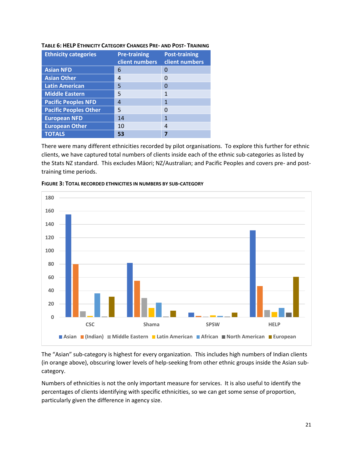| <b>Ethnicity categories</b>  | <b>Pre-training</b><br>client numbers | <b>Post-training</b><br>client numbers |
|------------------------------|---------------------------------------|----------------------------------------|
| <b>Asian NFD</b>             | 6                                     |                                        |
| <b>Asian Other</b>           | 4                                     |                                        |
| <b>Latin American</b>        | 5                                     |                                        |
| <b>Middle Eastern</b>        | 5                                     | 1                                      |
| <b>Pacific Peoples NFD</b>   | 4                                     | 1                                      |
| <b>Pacific Peoples Other</b> | 5                                     |                                        |
| <b>European NFD</b>          | 14                                    | 1                                      |
| <b>European Other</b>        | 10                                    | 4                                      |
| <b>TOTALS</b>                | 53                                    |                                        |

#### **TABLE 6: HELP ETHNICITY CATEGORY CHANGES PRE- AND POST- TRAINING**

There were many different ethnicities recorded by pilot organisations. To explore this further for ethnic clients, we have captured total numbers of clients inside each of the ethnic sub-categories as listed by the Stats NZ standard. This excludes Māori; NZ/Australian; and Pacific Peoples and covers pre- and posttraining time periods.





The "Asian" sub-category is highest for every organization. This includes high numbers of Indian clients (in orange above), obscuring lower levels of help-seeking from other ethnic groups inside the Asian subcategory.

Numbers of ethnicities is not the only important measure for services. It is also useful to identify the percentages of clients identifying with specific ethnicities, so we can get some sense of proportion, particularly given the difference in agency size.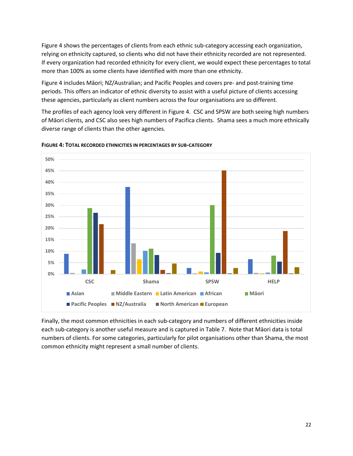Figure 4 shows the percentages of clients from each ethnic sub-category accessing each organization, relying on ethnicity captured, so clients who did not have their ethnicity recorded are not represented. If every organization had recorded ethnicity for every client, we would expect these percentages to total more than 100% as some clients have identified with more than one ethnicity.

Figure 4 includes Māori; NZ/Australian; and Pacific Peoples and covers pre- and post-training time periods. This offers an indicator of ethnic diversity to assist with a useful picture of clients accessing these agencies, particularly as client numbers across the four organisations are so different.

The profiles of each agency look very different in Figure 4. CSC and SPSW are both seeing high numbers of Māori clients, and CSC also sees high numbers of Pacifica clients. Shama sees a much more ethnically diverse range of clients than the other agencies.



**FIGURE 4: TOTAL RECORDED ETHNICITIES IN PERCENTAGES BY SUB-CATEGORY**

Finally, the most common ethnicities in each sub-category and numbers of different ethnicities inside each sub-category is another useful measure and is captured in Table 7. Note that Māori data is total numbers of clients. For some categories, particularly for pilot organisations other than Shama, the most common ethnicity might represent a small number of clients.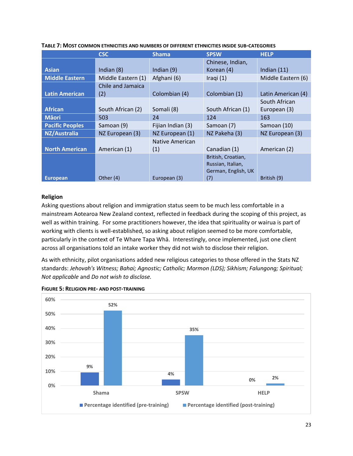|                        | <b>CSC</b>         | <b>Shama</b>      | <b>SPSW</b>         | <b>HELP</b>        |
|------------------------|--------------------|-------------------|---------------------|--------------------|
|                        |                    |                   | Chinese, Indian,    |                    |
| <b>Asian</b>           | Indian $(8)$       | Indian $(9)$      | Korean (4)          | Indian $(11)$      |
| <b>Middle Eastern</b>  | Middle Eastern (1) | Afghani (6)       | Iraqi $(1)$         | Middle Eastern (6) |
|                        | Chile and Jamaica  |                   |                     |                    |
| <b>Latin American</b>  | (2)                | Colombian (4)     | Colombian (1)       | Latin American (4) |
|                        |                    |                   |                     | South African      |
| <b>African</b>         | South African (2)  | Somali (8)        | South African (1)   | European (3)       |
| <b>M</b> aori          | 503                | 24                | 124                 | 163                |
| <b>Pacific Peoples</b> | Samoan (9)         | Fijian Indian (3) | Samoan (7)          | Samoan (10)        |
| <b>NZ/Australia</b>    | NZ European (3)    | NZ European (1)   | NZ Pakeha (3)       | NZ European (3)    |
|                        |                    | Native American   |                     |                    |
| <b>North American</b>  | American (1)       | (1)               | Canadian (1)        | American (2)       |
|                        |                    |                   | British, Croatian,  |                    |
|                        |                    |                   | Russian, Italian,   |                    |
|                        |                    |                   | German, English, UK |                    |
| <b>European</b>        | Other (4)          | European (3)      | (7)                 | British (9)        |

**TABLE 7: MOST COMMON ETHNICITIES AND NUMBERS OF DIFFERENT ETHNICITIES INSIDE SUB-CATEGORIES**

#### **Religion**

Asking questions about religion and immigration status seem to be much less comfortable in a mainstream Aotearoa New Zealand context, reflected in feedback during the scoping of this project, as well as within training. For some practitioners however, the idea that spirituality or wairua is part of working with clients is well-established, so asking about religion seemed to be more comfortable, particularly in the context of Te Whare Tapa Whā. Interestingly, once implemented, just one client across all organisations told an intake worker they did not wish to disclose their religion.

As with ethnicity, pilot organisations added new religious categories to those offered in the Stats NZ standards: *Jehovah's Witness; Bahai; Agnostic; Catholic; Mormon (LDS); Sikhism; Falungong; Spiritual; Not applicable* and *Do not wish to disclose.*



**FIGURE 5: RELIGION PRE- AND POST-TRAINING**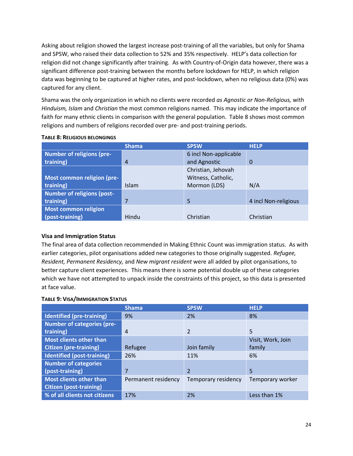Asking about religion showed the largest increase post-training of all the variables, but only for Shama and SPSW, who raised their data collection to 52% and 35% respectively. HELP's data collection for religion did not change significantly after training. As with Country-of-Origin data however, there was a significant difference post-training between the months before lockdown for HELP, in which religion data was beginning to be captured at higher rates, and post-lockdown, when no religious data (0%) was captured for any client.

Shama was the only organization in which no clients were recorded *as Agnostic or Non-Religious,* with *Hinduism, Islam* and *Christian* the most common religions named. This may indicate the importance of faith for many ethnic clients in comparison with the general population. Table 8 shows most common religions and numbers of religions recorded over pre- and post-training periods.

|                                   | <b>Shama</b>   | <b>SPSW</b>           | <b>HELP</b>          |
|-----------------------------------|----------------|-----------------------|----------------------|
| <b>Number of religions (pre-</b>  |                | 6 incl Non-applicable |                      |
| training)                         | $\overline{4}$ | and Agnostic          | $\Omega$             |
|                                   |                | Christian, Jehovah    |                      |
| Most common religion (pre-        |                | Witness, Catholic,    |                      |
| training)                         | <b>Islam</b>   | Mormon (LDS)          | N/A                  |
| <b>Number of religions (post-</b> |                |                       |                      |
| training)                         | 7              | 5                     | 4 incl Non-religious |
| <b>Most common religion</b>       |                |                       |                      |
| (post-training)                   | Hindu          | Christian             | Christian            |

#### **TABLE 8: RELIGIOUS BELONGINGS**

#### **Visa and Immigration Status**

The final area of data collection recommended in Making Ethnic Count was immigration status. As with earlier categories, pilot organisations added new categories to those originally suggested. *Refugee, Resident, Permanent Residency,* and *New migrant resident* were all added by pilot organisations, to better capture client experiences. This means there is some potential double up of these categories which we have not attempted to unpack inside the constraints of this project, so this data is presented at face value.

#### **TABLE 9: VISA/IMMIGRATION STATUS**

|                                   | <b>Shama</b>        | <b>SPSW</b>             | <b>HELP</b>       |
|-----------------------------------|---------------------|-------------------------|-------------------|
| <b>Identified (pre-training)</b>  | 9%                  | 2%                      | 8%                |
| <b>Number of categories (pre-</b> |                     |                         |                   |
| training)                         | 4                   | $\mathfrak{p}$          | 5                 |
| <b>Most clients other than</b>    |                     |                         | Visit, Work, Join |
| <b>Citizen (pre-training)</b>     | Refugee             | Join family             | family            |
| Identified (post-training)        | 26%                 | 11%                     | 6%                |
| <b>Number of categories</b>       |                     |                         |                   |
| (post-training)                   | 7                   | $\overline{\mathbf{c}}$ | 5                 |
| <b>Most clients other than</b>    | Permanent residency | Temporary residency     | Temporary worker  |
| <b>Citizen (post-training)</b>    |                     |                         |                   |
| % of all clients not citizens     | 17%                 | 2%                      | Less than 1%      |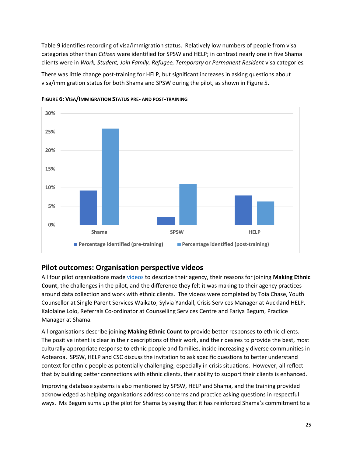Table 9 identifies recording of visa/immigration status. Relatively low numbers of people from visa categories other than *Citizen* were identified for SPSW and HELP; in contrast nearly one in five Shama clients were in *Work, Student, Join Family, Refugee, Temporary* or *Permanent Resident* visa categories*.*

There was little change post-training for HELP, but significant increases in asking questions about visa/immigration status for both Shama and SPSW during the pilot, as shown in Figure 5.



**FIGURE 6: VISA/IMMIGRATION STATUS PRE- AND POST-TRAINING** 

#### **Pilot outcomes: Organisation perspective videos**

All four pilot organisations made [videos](https://shama.org.nz/how-we-help/national-response-for-sexual-harm/making-ethnic-count/) to describe their agency, their reasons for joining **Making Ethnic Count**, the challenges in the pilot, and the difference they felt it was making to their agency practices around data collection and work with ethnic clients. The videos were completed by Toia Chase, Youth Counsellor at Single Parent Services Waikato; Sylvia Yandall, Crisis Services Manager at Auckland HELP, Kalolaine Lolo, Referrals Co-ordinator at Counselling Services Centre and Fariya Begum, Practice Manager at Shama.

All organisations describe joining **Making Ethnic Count** to provide better responses to ethnic clients. The positive intent is clear in their descriptions of their work, and their desires to provide the best, most culturally appropriate response to ethnic people and families, inside increasingly diverse communities in Aotearoa. SPSW, HELP and CSC discuss the invitation to ask specific questions to better understand context for ethnic people as potentially challenging, especially in crisis situations. However, all reflect that by building better connections with ethnic clients, their ability to support their clients is enhanced.

Improving database systems is also mentioned by SPSW, HELP and Shama, and the training provided acknowledged as helping organisations address concerns and practice asking questions in respectful ways. Ms Begum sums up the pilot for Shama by saying that it has reinforced Shama's commitment to a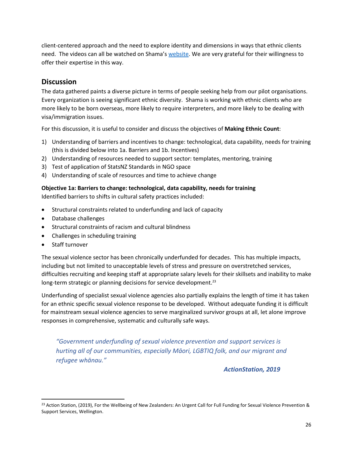client-centered approach and the need to explore identity and dimensions in ways that ethnic clients need. The videos can all be watched on Shama's [website.](https://shama.org.nz/how-we-help/national-response-for-sexual-harm/making-ethnic-count/) We are very grateful for their willingness to offer their expertise in this way.

### **Discussion**

The data gathered paints a diverse picture in terms of people seeking help from our pilot organisations. Every organization is seeing significant ethnic diversity. Shama is working with ethnic clients who are more likely to be born overseas, more likely to require interpreters, and more likely to be dealing with visa/immigration issues.

For this discussion, it is useful to consider and discuss the objectives of **Making Ethnic Count**:

- 1) Understanding of barriers and incentives to change: technological, data capability, needs for training (this is divided below into 1a. Barriers and 1b. Incentives)
- 2) Understanding of resources needed to support sector: templates, mentoring, training
- 3) Test of application of StatsNZ Standards in NGO space
- 4) Understanding of scale of resources and time to achieve change

#### **Objective 1a: Barriers to change: technological, data capability, needs for training**

Identified barriers to shifts in cultural safety practices included:

- Structural constraints related to underfunding and lack of capacity
- Database challenges
- Structural constraints of racism and cultural blindness
- Challenges in scheduling training
- Staff turnover

The sexual violence sector has been chronically underfunded for decades. This has multiple impacts, including but not limited to unacceptable levels of stress and pressure on overstretched services, difficulties recruiting and keeping staff at appropriate salary levels for their skillsets and inability to make long-term strategic or planning decisions for service development.<sup>23</sup>

Underfunding of specialist sexual violence agencies also partially explains the length of time it has taken for an ethnic specific sexual violence response to be developed. Without adequate funding it is difficult for mainstream sexual violence agencies to serve marginalized survivor groups at all, let alone improve responses in comprehensive, systematic and culturally safe ways.

*"Government underfunding of sexual violence prevention and support services is hurting all of our communities, especially Māori, LGBTIQ folk, and our migrant and refugee whānau."*

 *ActionStation, 2019*

<sup>&</sup>lt;sup>23</sup> Action Station, (2019), For the Wellbeing of New Zealanders: An Urgent Call for Full Funding for Sexual Violence Prevention & Support Services, Wellington.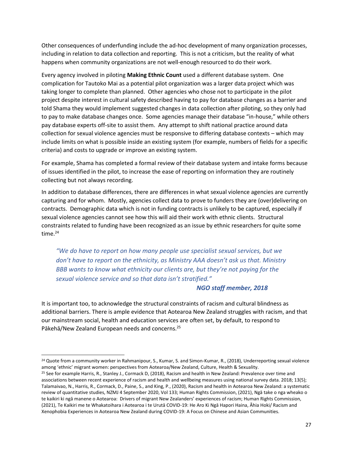Other consequences of underfunding include the ad-hoc development of many organization processes, including in relation to data collection and reporting. This is not a criticism, but the reality of what happens when community organizations are not well-enough resourced to do their work.

Every agency involved in piloting **Making Ethnic Count** used a different database system. One complication for Tautoko Mai as a potential pilot organization was a larger data project which was taking longer to complete than planned. Other agencies who chose not to participate in the pilot project despite interest in cultural safety described having to pay for database changes as a barrier and told Shama they would implement suggested changes in data collection after piloting, so they only had to pay to make database changes once. Some agencies manage their database "in-house," while others pay database experts off-site to assist them. Any attempt to shift national practice around data collection for sexual violence agencies must be responsive to differing database contexts – which may include limits on what is possible inside an existing system (for example, numbers of fields for a specific criteria) and costs to upgrade or improve an existing system.

For example, Shama has completed a formal review of their database system and intake forms because of issues identified in the pilot, to increase the ease of reporting on information they are routinely collecting but not always recording.

In addition to database differences, there are differences in what sexual violence agencies are currently capturing and for whom. Mostly, agencies collect data to prove to funders they are (over)delivering on contracts. Demographic data which is not in funding contracts is unlikely to be captured, especially if sexual violence agencies cannot see how this will aid their work with ethnic clients. Structural constraints related to funding have been recognized as an issue by ethnic researchers for quite some time. $24$ 

*"We do have to report on how many people use specialist sexual services, but we don't have to report on the ethnicity, as Ministry AAA doesn't ask us that. Ministry BBB wants to know what ethnicity our clients are, but they're not paying for the sexual violence service and so that data isn't stratified."*

#### *NGO staff member, 2018*

It is important too, to acknowledge the structural constraints of racism and cultural blindness as additional barriers. There is ample evidence that Aotearoa New Zealand struggles with racism, and that our mainstream social, health and education services are often set, by default, to respond to Pākehā/New Zealand European needs and concerns.<sup>25</sup>

<sup>&</sup>lt;sup>24</sup> Quote from a community worker in Rahmanipour, S., Kumar, S. and Simon-Kumar, R., (2018), Underreporting sexual violence among 'ethnic' migrant women: perspectives from Aotearoa/New Zealand, Culture, Health & Sexuality.

<sup>&</sup>lt;sup>25</sup> See for example Harris, R., Stanley J., Cormack D, (2018), Racism and health in New Zealand: Prevalence over time and associations between recent experience of racism and health and wellbeing measures using national survey data. 2018; 13(5); Talamaivao, N., Harris, R., Cormack, D., Paine, S., and King, P., (2020), Racism and health in Aotearoa New Zealand: a systematic review of quantitative studies, NZMJ 4 September 2020, Vol 133; Human Rights Commission, (2021), Ngā take o nga wheako o te kaikiri ki ngā manene o Aotearoa: Drivers of migrant New Zealanders' experiences of racism; Human Rights Commission, (2021), Te Kaikiri me te Whakatoihara i Aotearoa i te Urutā COVID-19: He Aro Ki Ngā Hapori Haina, Āhia Hoki/ Racism and Xenophobia Experiences in Aotearoa New Zealand during COVID-19: A Focus on Chinese and Asian Communities.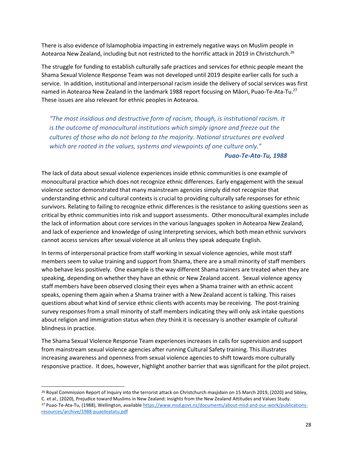There is also evidence of Islamophobia impacting in extremely negative ways on Muslim people in Aotearoa New Zealand, including but not restricted to the horrific attack in 2019 in Christchurch.<sup>26</sup>

The struggle for funding to establish culturally safe practices and services for ethnic people meant the Shama Sexual Violence Response Team was not developed until 2019 despite earlier calls for such a service. In addition, institutional and interpersonal racism inside the delivery of social services was first named in Aotearoa New Zealand in the landmark 1988 report focusing on Māori, Puao-Te-Ata-Tu.<sup>27</sup> These issues are also relevant for ethnic peoples in Aotearoa.

*"The most insidious and destructive form of racism, though, is institutional racism. It is the outcome of monocultural institutions which simply ignore and freeze out the cultures of those who do not belong to the majority. National structures are evolved which are rooted in the values, systems and viewpoints of one culture only."*

#### *Puao-Te-Ata-Tu, 1988*

The lack of data about sexual violence experiences inside ethnic communities is one example of monocultural practice which does not recognize ethnic differences. Early engagement with the sexual violence sector demonstrated that many mainstream agencies simply did not recognize that understanding ethnic and cultural contexts is crucial to providing culturally safe responses for ethnic survivors. Relating to failing to recognize ethnic differences is the resistance to asking questions seen as critical by ethnic communities into risk and support assessments. Other monocultural examples include the lack of information about core services in the various languages spoken in Aotearoa New Zealand, and lack of experience and knowledge of using interpreting services, which both mean ethnic survivors cannot access services after sexual violence at all unless they speak adequate English.

In terms of interpersonal practice from staff working in sexual violence agencies, while most staff members seem to value training and support from Shama, there are a small minority of staff members who behave less positively. One example is the way different Shama trainers are treated when they are speaking, depending on whether they have an ethnic or New Zealand accent. Sexual violence agency staff members have been observed closing their eyes when a Shama trainer with an ethnic accent speaks, opening them again when a Shama trainer with a New Zealand accent is talking. This raises questions about what kind of service ethnic clients with accents may be receiving. The post-training survey responses from a small minority of staff members indicating they will only ask intake questions about religion and immigration status when *they* think it is necessary is another example of cultural blindness in practice.

The Shama Sexual Violence Response Team experiences increases in calls for supervision and support from mainstream sexual violence agencies after running Cultural Safety training. This illustrates increasing awareness and openness from sexual violence agencies to shift towards more culturally responsive practice. It does, however, highlight another barrier that was significant for the pilot project.

<sup>&</sup>lt;sup>26</sup> Royal Commission Report of Inquiry into the terrorist attack on Christchurch masjidain on 15 March 2019, (2020) and Sibley, C. et al., (2020), Prejudice toward Muslims in New Zealand: Insights from the New Zealand Attitudes and Values Study. <sup>27</sup> Puao-Te-Ata-Tu, (1988), Wellington, availabl[e https://www.msd.govt.nz/documents/about-msd-and-our-work/publications](https://www.msd.govt.nz/documents/about-msd-and-our-work/publications-resources/archive/1988-puaoteatatu.pdf)[resources/archive/1988-puaoteatatu.pdf](https://www.msd.govt.nz/documents/about-msd-and-our-work/publications-resources/archive/1988-puaoteatatu.pdf)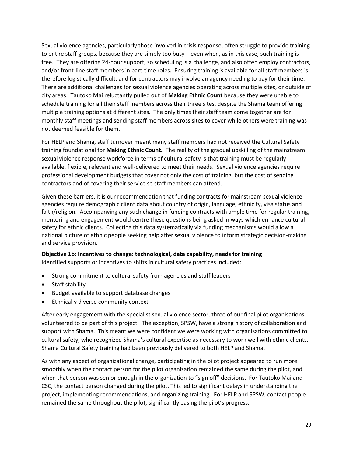Sexual violence agencies, particularly those involved in crisis response, often struggle to provide training to entire staff groups, because they are simply too busy – even when, as in this case, such training is free. They are offering 24-hour support, so scheduling is a challenge, and also often employ contractors, and/or front-line staff members in part-time roles. Ensuring training is available for all staff members is therefore logistically difficult, and for contractors may involve an agency needing to pay for their time. There are additional challenges for sexual violence agencies operating across multiple sites, or outside of city areas. Tautoko Mai reluctantly pulled out of **Making Ethnic Count** because they were unable to schedule training for all their staff members across their three sites, despite the Shama team offering multiple training options at different sites. The only times their staff team come together are for monthly staff meetings and sending staff members across sites to cover while others were training was not deemed feasible for them.

For HELP and Shama, staff turnover meant many staff members had not received the Cultural Safety training foundational for **Making Ethnic Count.** The reality of the gradual upskilling of the mainstream sexual violence response workforce in terms of cultural safety is that training must be regularly available, flexible, relevant and well-delivered to meet their needs. Sexual violence agencies require professional development budgets that cover not only the cost of training, but the cost of sending contractors and of covering their service so staff members can attend.

Given these barriers, it is our recommendation that funding contracts for mainstream sexual violence agencies require demographic client data about country of origin, language, ethnicity, visa status and faith/religion. Accompanying any such change in funding contracts with ample time for regular training, mentoring and engagement would centre these questions being asked in ways which enhance cultural safety for ethnic clients. Collecting this data systematically via funding mechanisms would allow a national picture of ethnic people seeking help after sexual violence to inform strategic decision-making and service provision.

#### **Objective 1b: Incentives to change: technological, data capability, needs for training**

Identified supports or incentives to shifts in cultural safety practices included:

- Strong commitment to cultural safety from agencies and staff leaders
- Staff stability
- Budget available to support database changes
- Ethnically diverse community context

After early engagement with the specialist sexual violence sector, three of our final pilot organisations volunteered to be part of this project. The exception, SPSW, have a strong history of collaboration and support with Shama. This meant we were confident we were working with organisations committed to cultural safety, who recognized Shama's cultural expertise as necessary to work well with ethnic clients. Shama Cultural Safety training had been previously delivered to both HELP and Shama.

As with any aspect of organizational change, participating in the pilot project appeared to run more smoothly when the contact person for the pilot organization remained the same during the pilot, and when that person was senior enough in the organization to "sign off" decisions. For Tautoko Mai and CSC, the contact person changed during the pilot. This led to significant delays in understanding the project, implementing recommendations, and organizing training. For HELP and SPSW, contact people remained the same throughout the pilot, significantly easing the pilot's progress.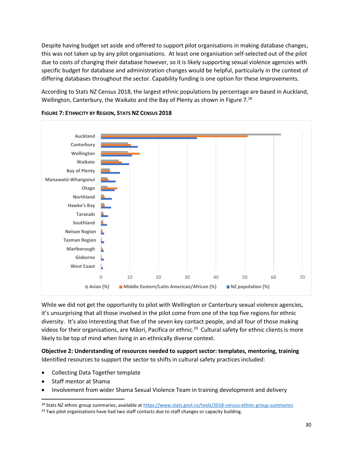Despite having budget set aside and offered to support pilot organisations in making database changes, this was not taken up by any pilot organisations. At least one organisation self-selected out of the pilot due to costs of changing their database however, so it is likely supporting sexual violence agencies with specific budget for database and administration changes would be helpful, particularly in the context of differing databases throughout the sector. Capability funding is one option for these improvements.

According to Stats NZ Census 2018, the largest ethnic populations by percentage are based in Auckland, Wellington, Canterbury, the Waikato and the Bay of Plenty as shown in Figure 7. $^{28}$ 





While we did not get the opportunity to pilot with Wellington or Canterbury sexual violence agencies, it's unsurprising that all those involved in the pilot come from one of the top five regions for ethnic diversity. It's also interesting that five of the seven key contact people, and all four of those making videos for their organisations, are Māori, Pacifica or ethnic.<sup>29</sup> Cultural safety for ethnic clients is more likely to be top of mind when living in an ethnically diverse context.

**Objective 2: Understanding of resources needed to support sector: templates, mentoring, training** Identified resources to support the sector to shifts in cultural safety practices included:

- Collecting Data Together template
- Staff mentor at Shama
- Involvement from wider Shama Sexual Violence Team in training development and delivery

<sup>&</sup>lt;sup>28</sup> Stats NZ ethnic group summaries, available at<https://www.stats.govt.nz/tools/2018-census-ethnic-group-summaries>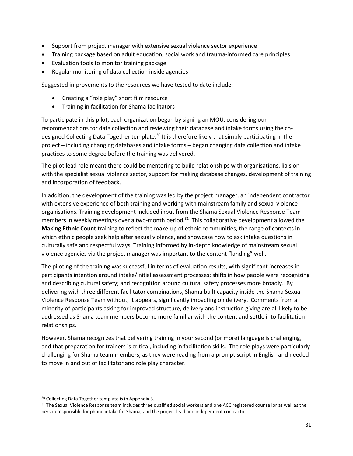- Support from project manager with extensive sexual violence sector experience
- Training package based on adult education, social work and trauma-informed care principles
- Evaluation tools to monitor training package
- Regular monitoring of data collection inside agencies

Suggested improvements to the resources we have tested to date include:

- Creating a "role play" short film resource
- Training in facilitation for Shama facilitators

To participate in this pilot, each organization began by signing an MOU, considering our recommendations for data collection and reviewing their database and intake forms using the codesigned Collecting Data Together template.<sup>30</sup> It is therefore likely that simply participating in the project – including changing databases and intake forms – began changing data collection and intake practices to some degree before the training was delivered.

The pilot lead role meant there could be mentoring to build relationships with organisations, liaision with the specialist sexual violence sector, support for making database changes, development of training and incorporation of feedback.

In addition, the development of the training was led by the project manager, an independent contractor with extensive experience of both training and working with mainstream family and sexual violence organisations. Training development included input from the Shama Sexual Violence Response Team members in weekly meetings over a two-month period.<sup>31</sup> This collaborative development allowed the **Making Ethnic Count** training to reflect the make-up of ethnic communities, the range of contexts in which ethnic people seek help after sexual violence, and showcase how to ask intake questions in culturally safe and respectful ways. Training informed by in-depth knowledge of mainstream sexual violence agencies via the project manager was important to the content "landing" well.

The piloting of the training was successful in terms of evaluation results, with significant increases in participants intention around intake/initial assessment processes; shifts in how people were recognizing and describing cultural safety; and recognition around cultural safety processes more broadly. By delivering with three different facilitator combinations, Shama built capacity inside the Shama Sexual Violence Response Team without, it appears, significantly impacting on delivery. Comments from a minority of participants asking for improved structure, delivery and instruction giving are all likely to be addressed as Shama team members become more familiar with the content and settle into facilitation relationships.

However, Shama recognizes that delivering training in your second (or more) language is challenging, and that preparation for trainers is critical, including in facilitation skills. The role plays were particularly challenging for Shama team members, as they were reading from a prompt script in English and needed to move in and out of facilitator and role play character.

<sup>30</sup> Collecting Data Together template is in Appendix 3.

<sup>31</sup> The Sexual Violence Response team includes three qualified social workers and one ACC registered counsellor as well as the person responsible for phone intake for Shama, and the project lead and independent contractor.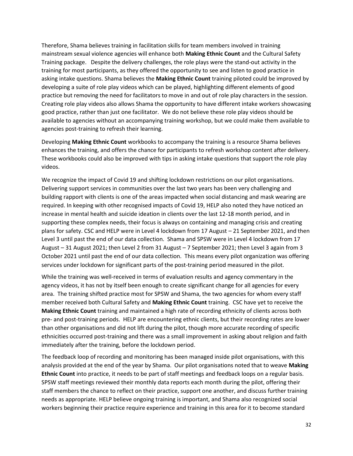Therefore, Shama believes training in facilitation skills for team members involved in training mainstream sexual violence agencies will enhance both **Making Ethnic Count** and the Cultural Safety Training package. Despite the delivery challenges, the role plays were the stand-out activity in the training for most participants, as they offered the opportunity to see and listen to good practice in asking intake questions. Shama believes the **Making Ethnic Count** training piloted could be improved by developing a suite of role play videos which can be played, highlighting different elements of good practice but removing the need for facilitators to move in and out of role play characters in the session. Creating role play videos also allows Shama the opportunity to have different intake workers showcasing good practice, rather than just one facilitator. We do not believe these role play videos should be available to agencies without an accompanying training workshop, but we could make them available to agencies post-training to refresh their learning.

Developing **Making Ethnic Count** workbooks to accompany the training is a resource Shama believes enhances the training, and offers the chance for participants to refresh workshop content after delivery. These workbooks could also be improved with tips in asking intake questions that support the role play videos.

We recognize the impact of Covid 19 and shifting lockdown restrictions on our pilot organisations. Delivering support services in communities over the last two years has been very challenging and building rapport with clients is one of the areas impacted when social distancing and mask wearing are required. In keeping with other recognised impacts of Covid 19, HELP also noted they have noticed an increase in mental health and suicide ideation in clients over the last 12-18 month period, and in supporting these complex needs, their focus is always on containing and managing crisis and creating plans for safety. CSC and HELP were in Level 4 lockdown from 17 August – 21 September 2021, and then Level 3 until past the end of our data collection. Shama and SPSW were in Level 4 lockdown from 17 August – 31 August 2021; then Level 2 from 31 August – 7 September 2021; then Level 3 again from 3 October 2021 until past the end of our data collection. This means every pilot organization was offering services under lockdown for significant parts of the post-training period measured in the pilot.

While the training was well-received in terms of evaluation results and agency commentary in the agency videos, it has not by itself been enough to create significant change for all agencies for every area. The training shifted practice most for SPSW and Shama, the two agencies for whom every staff member received both Cultural Safety and **Making Ethnic Count** training. CSC have yet to receive the **Making Ethnic Count** training and maintained a high rate of recording ethnicity of clients across both pre- and post-training periods. HELP are encountering ethnic clients, but their recording rates are lower than other organisations and did not lift during the pilot, though more accurate recording of specific ethnicities occurred post-training and there was a small improvement in asking about religion and faith immediately after the training, before the lockdown period.

The feedback loop of recording and monitoring has been managed inside pilot organisations, with this analysis provided at the end of the year by Shama. Our pilot organisations noted that to weave **Making Ethnic Count** into practice, it needs to be part of staff meetings and feedback loops on a regular basis. SPSW staff meetings reviewed their monthly data reports each month during the pilot, offering their staff members the chance to reflect on their practice, support one another, and discuss further training needs as appropriate. HELP believe ongoing training is important, and Shama also recognized social workers beginning their practice require experience and training in this area for it to become standard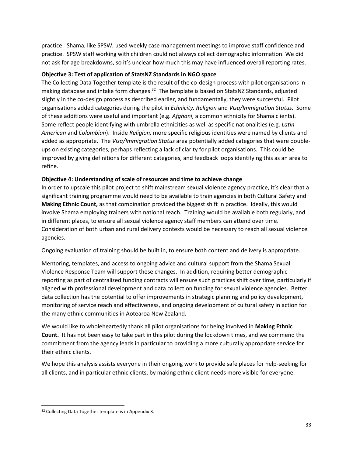practice. Shama, like SPSW, used weekly case management meetings to improve staff confidence and practice. SPSW staff working with children could not always collect demographic information. We did not ask for age breakdowns, so it's unclear how much this may have influenced overall reporting rates.

#### **Objective 3: Test of application of StatsNZ Standards in NGO space**

The Collecting Data Together template is the result of the co-design process with pilot organisations in making database and intake form changes.<sup>32</sup> The template is based on StatsNZ Standards, adjusted slightly in the co-design process as described earlier, and fundamentally, they were successful. Pilot organisations added categories during the pilot in *Ethnicity, Religion* and *Visa/Immigration Status.* Some of these additions were useful and important (e.g. *Afghani*, a common ethnicity for Shama clients). Some reflect people identifying with umbrella ethnicities as well as specific nationalities (e.g. *Latin American* and *Colombian*). Inside *Religion,* more specific religious identities were named by clients and added as appropriate. The *Visa/Immigration Status* area potentially added categories that were doubleups on existing categories, perhaps reflecting a lack of clarity for pilot organisations. This could be improved by giving definitions for different categories, and feedback loops identifying this as an area to refine.

#### **Objective 4: Understanding of scale of resources and time to achieve change**

In order to upscale this pilot project to shift mainstream sexual violence agency practice, it's clear that a significant training programme would need to be available to train agencies in both Cultural Safety and **Making Ethnic Count,** as that combination provided the biggest shift in practice. Ideally, this would involve Shama employing trainers with national reach. Training would be available both regularly, and in different places, to ensure all sexual violence agency staff members can attend over time. Consideration of both urban and rural delivery contexts would be necessary to reach all sexual violence agencies.

Ongoing evaluation of training should be built in, to ensure both content and delivery is appropriate.

Mentoring, templates, and access to ongoing advice and cultural support from the Shama Sexual Violence Response Team will support these changes. In addition, requiring better demographic reporting as part of centralized funding contracts will ensure such practices shift over time, particularly if aligned with professional development and data collection funding for sexual violence agencies. Better data collection has the potential to offer improvements in strategic planning and policy development, monitoring of service reach and effectiveness, and ongoing development of cultural safety in action for the many ethnic communities in Aotearoa New Zealand.

We would like to wholeheartedly thank all pilot organisations for being involved in **Making Ethnic Count.** It has not been easy to take part in this pilot during the lockdown times, and we commend the commitment from the agency leads in particular to providing a more culturally appropriate service for their ethnic clients.

We hope this analysis assists everyone in their ongoing work to provide safe places for help-seeking for all clients, and in particular ethnic clients, by making ethnic client needs more visible for everyone.

<sup>&</sup>lt;sup>32</sup> Collecting Data Together template is in Appendix 3.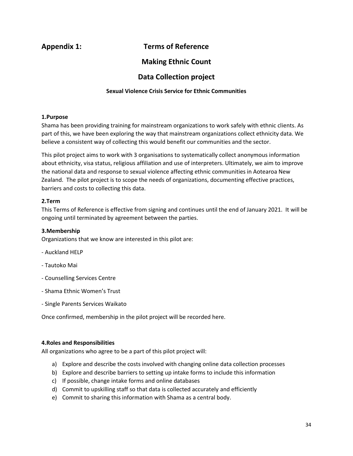#### **Appendix 1: Terms of Reference**

#### **Making Ethnic Count**

#### **Data Collection project**

#### **Sexual Violence Crisis Service for Ethnic Communities**

#### **1.Purpose**

Shama has been providing training for mainstream organizations to work safely with ethnic clients. As part of this, we have been exploring the way that mainstream organizations collect ethnicity data. We believe a consistent way of collecting this would benefit our communities and the sector.

This pilot project aims to work with 3 organisations to systematically collect anonymous information about ethnicity, visa status, religious affiliation and use of interpreters. Ultimately, we aim to improve the national data and response to sexual violence affecting ethnic communities in Aotearoa New Zealand. The pilot project is to scope the needs of organizations, documenting effective practices, barriers and costs to collecting this data.

#### **2.Term**

This Terms of Reference is effective from signing and continues until the end of January 2021. It will be ongoing until terminated by agreement between the parties.

#### **3.Membership**

Organizations that we know are interested in this pilot are:

- Auckland HELP
- Tautoko Mai
- Counselling Services Centre
- Shama Ethnic Women's Trust
- Single Parents Services Waikato

Once confirmed, membership in the pilot project will be recorded here.

#### **4.Roles and Responsibilities**

All organizations who agree to be a part of this pilot project will:

- a) Explore and describe the costs involved with changing online data collection processes
- b) Explore and describe barriers to setting up intake forms to include this information
- c) If possible, change intake forms and online databases
- d) Commit to upskilling staff so that data is collected accurately and efficiently
- e) Commit to sharing this information with Shama as a central body.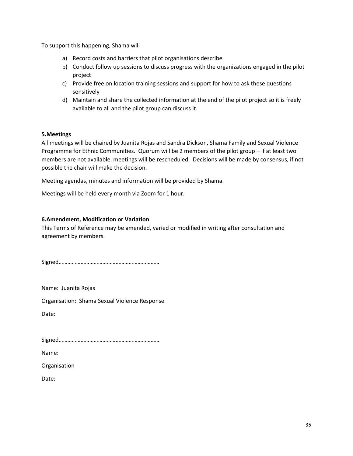To support this happening, Shama will

- a) Record costs and barriers that pilot organisations describe
- b) Conduct follow up sessions to discuss progress with the organizations engaged in the pilot project
- c) Provide free on location training sessions and support for how to ask these questions sensitively
- d) Maintain and share the collected information at the end of the pilot project so it is freely available to all and the pilot group can discuss it.

#### **5.Meetings**

All meetings will be chaired by Juanita Rojas and Sandra Dickson, Shama Family and Sexual Violence Programme for Ethnic Communities. Quorum will be 2 members of the pilot group – if at least two members are not available, meetings will be rescheduled. Decisions will be made by consensus, if not possible the chair will make the decision.

Meeting agendas, minutes and information will be provided by Shama.

Meetings will be held every month via Zoom for 1 hour.

#### **6.Amendment, Modification or Variation**

This Terms of Reference may be amended, varied or modified in writing after consultation and agreement by members.

Signed……………………………………………………………

Name: Juanita Rojas

Organisation: Shama Sexual Violence Response

Date:

Signed……………………………………………………………

Name:

Organisation

Date: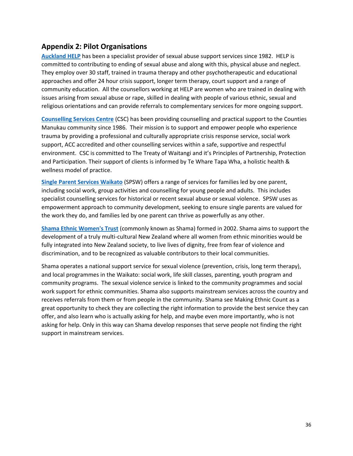#### **Appendix 2: Pilot Organisations**

**[Auckland HELP](https://www.helpauckland.org.nz/)** has been a specialist provider of sexual abuse support services since 1982. HELP is committed to contributing to ending of sexual abuse and along with this, physical abuse and neglect. They employ over 30 staff, trained in trauma therapy and other psychotherapeutic and educational approaches and offer 24 hour crisis support, longer term therapy, court support and a range of community education. All the counsellors working at HELP are women who are trained in dealing with issues arising from sexual abuse or rape, skilled in dealing with people of various ethnic, sexual and religious orientations and can provide referrals to complementary services for more ongoing support.

**[Counselling Services Centre](http://cscnz.org.nz/)** (CSC) has been providing counselling and practical support to the Counties Manukau community since 1986. Their mission is to support and empower people who experience trauma by providing a professional and culturally appropriate crisis response service, social work support, ACC accredited and other counselling services within a safe, supportive and respectful environment. CSC is committed to The Treaty of Waitangi and it's Principles of Partnership, Protection and Participation. Their support of clients is informed by Te Whare Tapa Wha, a holistic health & wellness model of practice.

**[Single Parent Services Waikato](http://spsw.org.nz/)** (SPSW) offers a range of services for families led by one parent, including social work, group activities and counselling for young people and adults. This includes specialist counselling services for historical or recent sexual abuse or sexual violence. SPSW uses as empowerment approach to community development, seeking to ensure single parents are valued for the work they do, and families led by one parent can thrive as powerfully as any other.

**[Shama Ethnic Women's Trust](https://shama.org.nz/)** (commonly known as Shama) formed in 2002. Shama aims to support the development of a truly multi-cultural New Zealand where all women from ethnic minorities would be fully integrated into New Zealand society, to live lives of dignity, free from fear of violence and discrimination, and to be recognized as valuable contributors to their local communities.

Shama operates a national support service for sexual violence (prevention, crisis, long term therapy), and local programmes in the Waikato: social work, life skill classes, parenting, youth program and community programs. The sexual violence service is linked to the community programmes and social work support for ethnic communities. Shama also supports mainstream services across the country and receives referrals from them or from people in the community. Shama see Making Ethnic Count as a great opportunity to check they are collecting the right information to provide the best service they can offer, and also learn who is actually asking for help, and maybe even more importantly, who is not asking for help. Only in this way can Shama develop responses that serve people not finding the right support in mainstream services.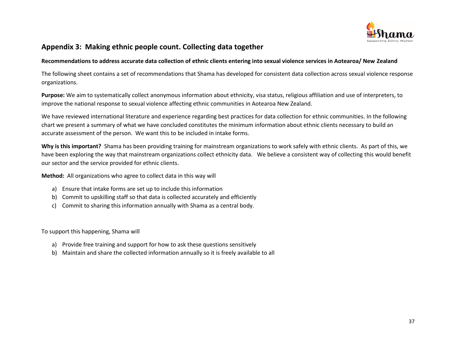

#### **Appendix 3: Making ethnic people count. Collecting data together**

#### **Recommendations to address accurate data collection of ethnic clients entering into sexual violence services in Aotearoa/ New Zealand**

The following sheet contains a set of recommendations that Shama has developed for consistent data collection across sexual violence response organizations.

**Purpose:** We aim to systematically collect anonymous information about ethnicity, visa status, religious affiliation and use of interpreters, to improve the national response to sexual violence affecting ethnic communities in Aotearoa New Zealand.

We have reviewed international literature and experience regarding best practices for data collection for ethnic communities. In the following chart we present a summary of what we have concluded constitutes the minimum information about ethnic clients necessary to build an accurate assessment of the person. We want this to be included in intake forms.

**Why is this important?** Shama has been providing training for mainstream organizations to work safely with ethnic clients. As part of this, we have been exploring the way that mainstream organizations collect ethnicity data. We believe a consistent way of collecting this would benefit our sector and the service provided for ethnic clients.

**Method:** All organizations who agree to collect data in this way will

- a) Ensure that intake forms are set up to include this information
- b) Commit to upskilling staff so that data is collected accurately and efficiently
- c) Commit to sharing this information annually with Shama as a central body.

To support this happening, Shama will

- a) Provide free training and support for how to ask these questions sensitively
- b) Maintain and share the collected information annually so it is freely available to all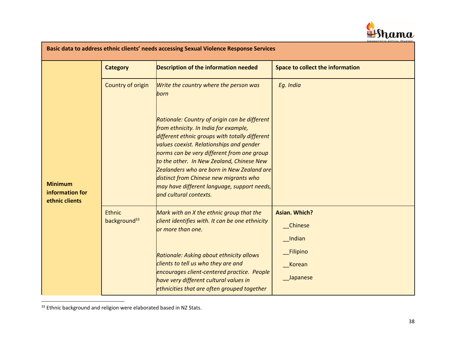

| Basic data to address ethnic clients' needs accessing Sexual Violence Response Services |                                           |                                                                                                                                                                                                                                                                                                                                                                                                                                                  |                                           |  |  |  |
|-----------------------------------------------------------------------------------------|-------------------------------------------|--------------------------------------------------------------------------------------------------------------------------------------------------------------------------------------------------------------------------------------------------------------------------------------------------------------------------------------------------------------------------------------------------------------------------------------------------|-------------------------------------------|--|--|--|
|                                                                                         | <b>Category</b>                           | Description of the information needed                                                                                                                                                                                                                                                                                                                                                                                                            | <b>Space to collect the information</b>   |  |  |  |
|                                                                                         | Country of origin                         | Write the country where the person was<br>born                                                                                                                                                                                                                                                                                                                                                                                                   | Eg. India                                 |  |  |  |
| <b>Minimum</b><br>information for<br>ethnic clients                                     |                                           | Rationale: Country of origin can be different<br>from ethnicity. In India for example,<br>different ethnic groups with totally different<br>values coexist. Relationships and gender<br>norms can be very different from one group<br>to the other. In New Zealand, Chinese New<br>Zealanders who are born in New Zealand are<br>distinct from Chinese new migrants who<br>may have different language, support needs,<br>and cultural contexts. |                                           |  |  |  |
|                                                                                         | <b>Ethnic</b><br>background <sup>33</sup> | Mark with an X the ethnic group that the<br>client identifies with. It can be one ethnicity<br>or more than one.                                                                                                                                                                                                                                                                                                                                 | <b>Asian. Which?</b><br>Chinese<br>Indian |  |  |  |
|                                                                                         |                                           | Rationale: Asking about ethnicity allows<br>clients to tell us who they are and<br>encourages client-centered practice. People<br>have very different cultural values in<br>ethnicities that are often grouped together                                                                                                                                                                                                                          | <b>Filipino</b><br>__Korean<br>_Japanese  |  |  |  |

<sup>&</sup>lt;sup>33</sup> Ethnic background and religion were elaborated based in NZ Stats.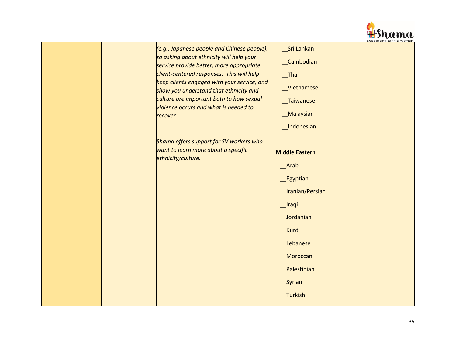

| (e.g., Japanese people and Chinese people),<br>so asking about ethnicity will help your<br>service provide better, more appropriate<br>client-centered responses. This will help<br>keep clients engaged with your service, and<br>show you understand that ethnicity and<br>culture are important both to how sexual<br>violence occurs and what is needed to<br>recover. | Sri Lankan<br>_Cambodian<br>$I$ Thai<br>_Vietnamese<br>_Taiwanese<br>_Malaysian<br>_Indonesian                                                                            |
|----------------------------------------------------------------------------------------------------------------------------------------------------------------------------------------------------------------------------------------------------------------------------------------------------------------------------------------------------------------------------|---------------------------------------------------------------------------------------------------------------------------------------------------------------------------|
| Shama offers support for SV workers who<br>want to learn more about a specific<br>ethnicity/culture.                                                                                                                                                                                                                                                                       | <b>Middle Eastern</b><br>Arab<br><b>Egyptian</b><br>_Iranian/Persian<br>_Iraqi<br>Jordanian<br>__Kurd<br>Lebanese<br><b>Moroccan</b><br>Palestinian<br>Syrian<br>_Turkish |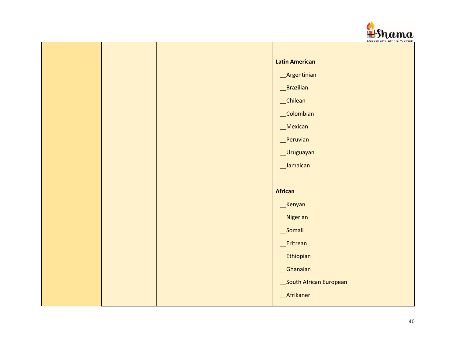

|  | <b>Latin American</b>  |
|--|------------------------|
|  | _Argentinian           |
|  | __Brazilian            |
|  | _Chilean               |
|  | _Colombian             |
|  | _Mexican               |
|  | Peruvian               |
|  | __Uruguayan            |
|  | _Jamaican              |
|  |                        |
|  | <b>African</b>         |
|  | Kenyan                 |
|  | _Nigerian              |
|  | _Somali                |
|  | _Eritrean              |
|  | _Ethiopian             |
|  | Ghanaian               |
|  | South African European |
|  | _Afrikaner             |
|  |                        |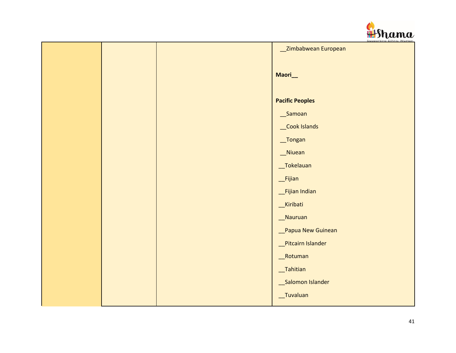

|  | _Zimbabwean European          |
|--|-------------------------------|
|  | Maori_                        |
|  | <b>Pacific Peoples</b>        |
|  | __Samoan                      |
|  | Cook Islands                  |
|  | $\sqrt{r}$ Tongan             |
|  | _Niuean                       |
|  | _Tokelauan                    |
|  | $_F$ Fijian                   |
|  | Fijian Indian                 |
|  | _Kiribati                     |
|  | Nauruan                       |
|  | Papua New Guinean             |
|  | Pitcairn Islander             |
|  | _Rotuman                      |
|  | $\sqrt{\phantom{a}}$ Tahitian |
|  | Salomon Islander              |
|  | _Tuvaluan                     |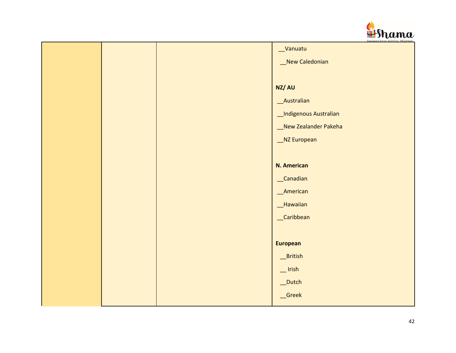

|  | _Vanuatu               |
|--|------------------------|
|  | New Caledonian         |
|  |                        |
|  | NZ/AU                  |
|  | _Australian            |
|  | _Indigenous Australian |
|  | _New Zealander Pakeha  |
|  | _NZ European           |
|  |                        |
|  | <b>N. American</b>     |
|  | _Canadian              |
|  | M                      |
|  | __Hawaiian             |
|  | _Caribbean             |
|  |                        |
|  | <b>European</b>        |
|  | _British               |
|  | $\mathbf{r}$ Irish     |
|  | _Dutch                 |
|  | _Greek                 |
|  |                        |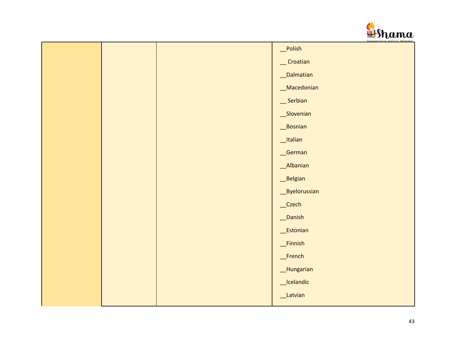

|  | _Polish                                                                                                                                                                                                                                                                                                                                                                                                                   |
|--|---------------------------------------------------------------------------------------------------------------------------------------------------------------------------------------------------------------------------------------------------------------------------------------------------------------------------------------------------------------------------------------------------------------------------|
|  | $\sqrt{\frac{1}{1-\frac{1}{1-\frac{1}{1-\frac{1}{1-\frac{1}{1-\frac{1}{1-\frac{1}{1-\frac{1}{1-\frac{1}{1-\frac{1}{1-\frac{1}{1-\frac{1}{1-\frac{1}{1-\frac{1}{1-\frac{1}{1-\frac{1}{1-\frac{1}{1-\frac{1}{1-\frac{1}{1-\frac{1}{1-\frac{1}{1-\frac{1}{1-\frac{1}{1-\frac{1}{1-\frac{1}{1-\frac{1}{1-\frac{1}{1-\frac{1}{1-\frac{1}{1-\frac{1}{1-\frac{1}{1-\frac{1}{1-\frac{1}{1-\frac{1}{1-\frac{1}{1-\frac{1}{1-\frac$ |
|  | _Dalmatian                                                                                                                                                                                                                                                                                                                                                                                                                |
|  | _Macedonian                                                                                                                                                                                                                                                                                                                                                                                                               |
|  | Serbian                                                                                                                                                                                                                                                                                                                                                                                                                   |
|  | _Slovenian                                                                                                                                                                                                                                                                                                                                                                                                                |
|  | _Bosnian                                                                                                                                                                                                                                                                                                                                                                                                                  |
|  | _Italian                                                                                                                                                                                                                                                                                                                                                                                                                  |
|  | _German                                                                                                                                                                                                                                                                                                                                                                                                                   |
|  | _Albanian                                                                                                                                                                                                                                                                                                                                                                                                                 |
|  | _Belgian                                                                                                                                                                                                                                                                                                                                                                                                                  |
|  | Byelorussian                                                                                                                                                                                                                                                                                                                                                                                                              |
|  | _Czech                                                                                                                                                                                                                                                                                                                                                                                                                    |
|  | _Danish                                                                                                                                                                                                                                                                                                                                                                                                                   |
|  | _Estonian                                                                                                                                                                                                                                                                                                                                                                                                                 |
|  | _Finnish                                                                                                                                                                                                                                                                                                                                                                                                                  |
|  | $_F$ French                                                                                                                                                                                                                                                                                                                                                                                                               |
|  | _Hungarian                                                                                                                                                                                                                                                                                                                                                                                                                |
|  | _Icelandic                                                                                                                                                                                                                                                                                                                                                                                                                |
|  | _Latvian                                                                                                                                                                                                                                                                                                                                                                                                                  |
|  |                                                                                                                                                                                                                                                                                                                                                                                                                           |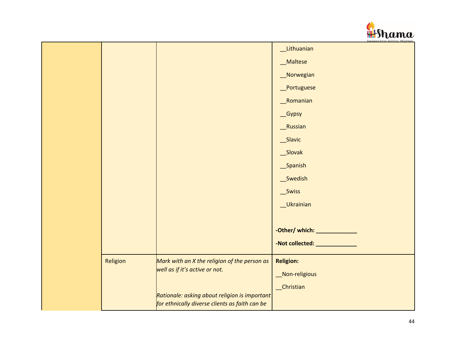

|          |                                                | Supporting Ethnic Women        |
|----------|------------------------------------------------|--------------------------------|
|          |                                                | Lithuanian                     |
|          |                                                | _Maltese                       |
|          |                                                | Norwegian                      |
|          |                                                | Portuguese                     |
|          |                                                | Romanian                       |
|          |                                                | _Gypsy                         |
|          |                                                | _Russian                       |
|          |                                                | _Slavic                        |
|          |                                                | _Slovak                        |
|          |                                                | _Spanish                       |
|          |                                                | __Swedish                      |
|          |                                                | _Swiss                         |
|          |                                                | Ukrainian                      |
|          |                                                |                                |
|          |                                                | -Other/ which: _______________ |
|          |                                                | -Not collected: ______________ |
| Religion | Mark with an X the religion of the person as   | <b>Religion:</b>               |
|          | well as if it's active or not.                 | Non-religious                  |
|          |                                                | _Christian                     |
|          | Rationale: asking about religion is important  |                                |
|          | for ethnically diverse clients as faith can be |                                |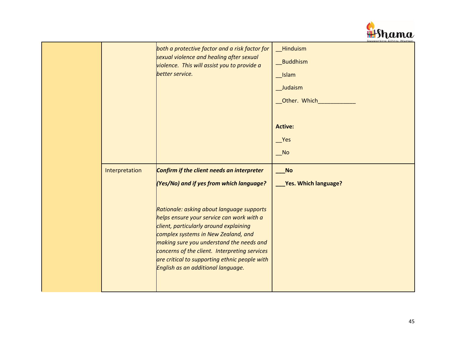

|                | both a protective factor and a risk factor for<br>sexual violence and healing after sexual<br>violence. This will assist you to provide a<br>better service.                                                                                                                                                                                                                                                                                          | _Hinduism<br>Buddhism<br>__Islam<br>Judaism<br>Other. Which<br><b>Active:</b><br>Yes<br>$N$ o |
|----------------|-------------------------------------------------------------------------------------------------------------------------------------------------------------------------------------------------------------------------------------------------------------------------------------------------------------------------------------------------------------------------------------------------------------------------------------------------------|-----------------------------------------------------------------------------------------------|
| Interpretation | Confirm if the client needs an interpreter<br>(Yes/No) and if yes from which language?<br>Rationale: asking about language supports<br>helps ensure your service can work with a<br>client, particularly around explaining<br>complex systems in New Zealand, and<br>making sure you understand the needs and<br>concerns of the client. Interpreting services<br>are critical to supporting ethnic people with<br>English as an additional language. | No<br><b>Yes. Which language?</b>                                                             |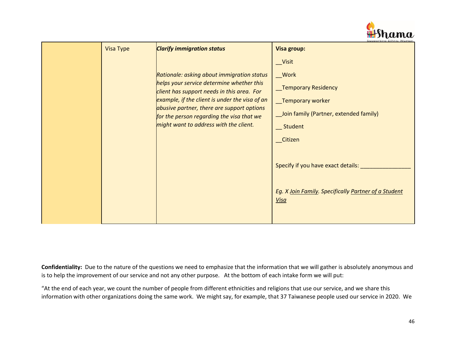

| <b>Visa Type</b> | <b>Clarify immigration status</b>                                                                                                                                                                                                                                                                                            | <b>Visa group:</b>                                                                                                                                                                                                                                      |
|------------------|------------------------------------------------------------------------------------------------------------------------------------------------------------------------------------------------------------------------------------------------------------------------------------------------------------------------------|---------------------------------------------------------------------------------------------------------------------------------------------------------------------------------------------------------------------------------------------------------|
|                  | Rationale: asking about immigration status<br>helps your service determine whether this<br>client has support needs in this area. For<br>example, if the client is under the visa of an<br>abusive partner, there are support options<br>for the person regarding the visa that we<br>might want to address with the client. | __Visit<br>$_$ Work<br><b>Temporary Residency</b><br>_Temporary worker<br>_Join family (Partner, extended family)<br>__ Student<br>Citizen<br>Specify if you have exact details:<br>Eg. X Join Family. Specifically Partner of a Student<br><u>Visa</u> |

**Confidentiality:** Due to the nature of the questions we need to emphasize that the information that we will gather is absolutely anonymous and is to help the improvement of our service and not any other purpose. At the bottom of each intake form we will put:

"At the end of each year, we count the number of people from different ethnicities and religions that use our service, and we share this information with other organizations doing the same work. We might say, for example, that 37 Taiwanese people used our service in 2020. We